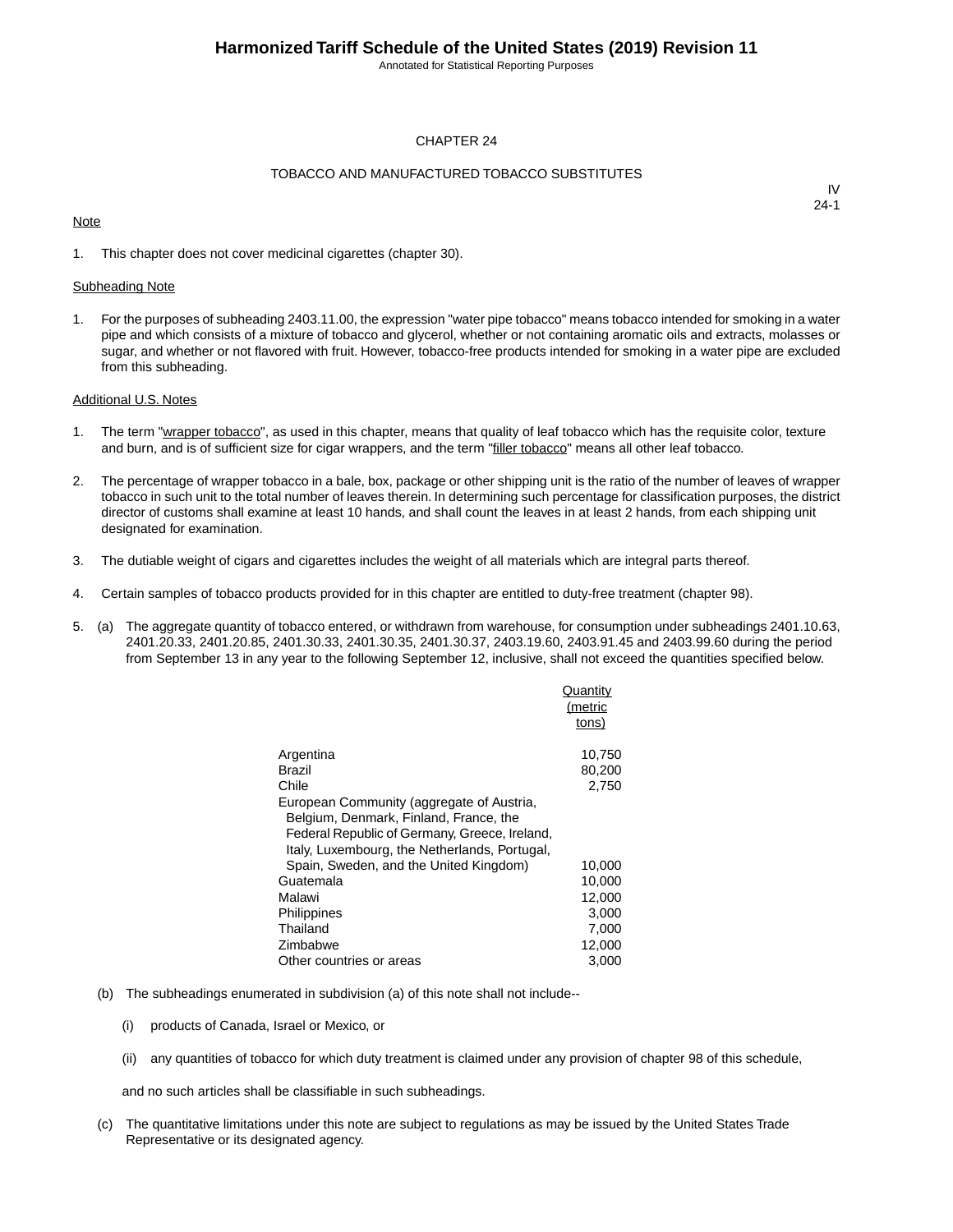Annotated for Statistical Reporting Purposes

#### CHAPTER 24

#### TOBACCO AND MANUFACTURED TOBACCO SUBSTITUTES

#### **Note**

IV 24-1

1. This chapter does not cover medicinal cigarettes (chapter 30).

#### Subheading Note

1. For the purposes of subheading 2403.11.00, the expression "water pipe tobacco" means tobacco intended for smoking in a water pipe and which consists of a mixture of tobacco and glycerol, whether or not containing aromatic oils and extracts, molasses or sugar, and whether or not flavored with fruit. However, tobacco-free products intended for smoking in a water pipe are excluded from this subheading.

#### Additional U.S. Notes

- 1. The term "wrapper tobacco", as used in this chapter, means that quality of leaf tobacco which has the requisite color, texture and burn, and is of sufficient size for cigar wrappers, and the term "filler tobacco" means all other leaf tobacco.
- 2. The percentage of wrapper tobacco in a bale, box, package or other shipping unit is the ratio of the number of leaves of wrapper tobacco in such unit to the total number of leaves therein. In determining such percentage for classification purposes, the district director of customs shall examine at least 10 hands, and shall count the leaves in at least 2 hands, from each shipping unit designated for examination.
- 3. The dutiable weight of cigars and cigarettes includes the weight of all materials which are integral parts thereof.
- 4. Certain samples of tobacco products provided for in this chapter are entitled to duty-free treatment (chapter 98).
- 5. (a) The aggregate quantity of tobacco entered, or withdrawn from warehouse, for consumption under subheadings 2401.10.63, 2401.20.33, 2401.20.85, 2401.30.33, 2401.30.35, 2401.30.37, 2403.19.60, 2403.91.45 and 2403.99.60 during the period from September 13 in any year to the following September 12, inclusive, shall not exceed the quantities specified below.

|                                               | Quantity<br>(metric<br>tons) |
|-----------------------------------------------|------------------------------|
|                                               |                              |
| Argentina                                     | 10,750                       |
| Brazil                                        | 80,200                       |
| Chile                                         | 2,750                        |
| European Community (aggregate of Austria,     |                              |
| Belgium, Denmark, Finland, France, the        |                              |
| Federal Republic of Germany, Greece, Ireland, |                              |
| Italy, Luxembourg, the Netherlands, Portugal, |                              |
| Spain, Sweden, and the United Kingdom)        | 10,000                       |
| Guatemala                                     | 10,000                       |
| Malawi                                        | 12,000                       |
| Philippines                                   | 3,000                        |
| Thailand                                      | 7,000                        |
| Zimbabwe                                      | 12,000                       |
| Other countries or areas                      | 3,000                        |

- (b) The subheadings enumerated in subdivision (a) of this note shall not include--
	- (i) products of Canada, Israel or Mexico, or
	- (ii) any quantities of tobacco for which duty treatment is claimed under any provision of chapter 98 of this schedule,

and no such articles shall be classifiable in such subheadings.

(c) The quantitative limitations under this note are subject to regulations as may be issued by the United States Trade Representative or its designated agency.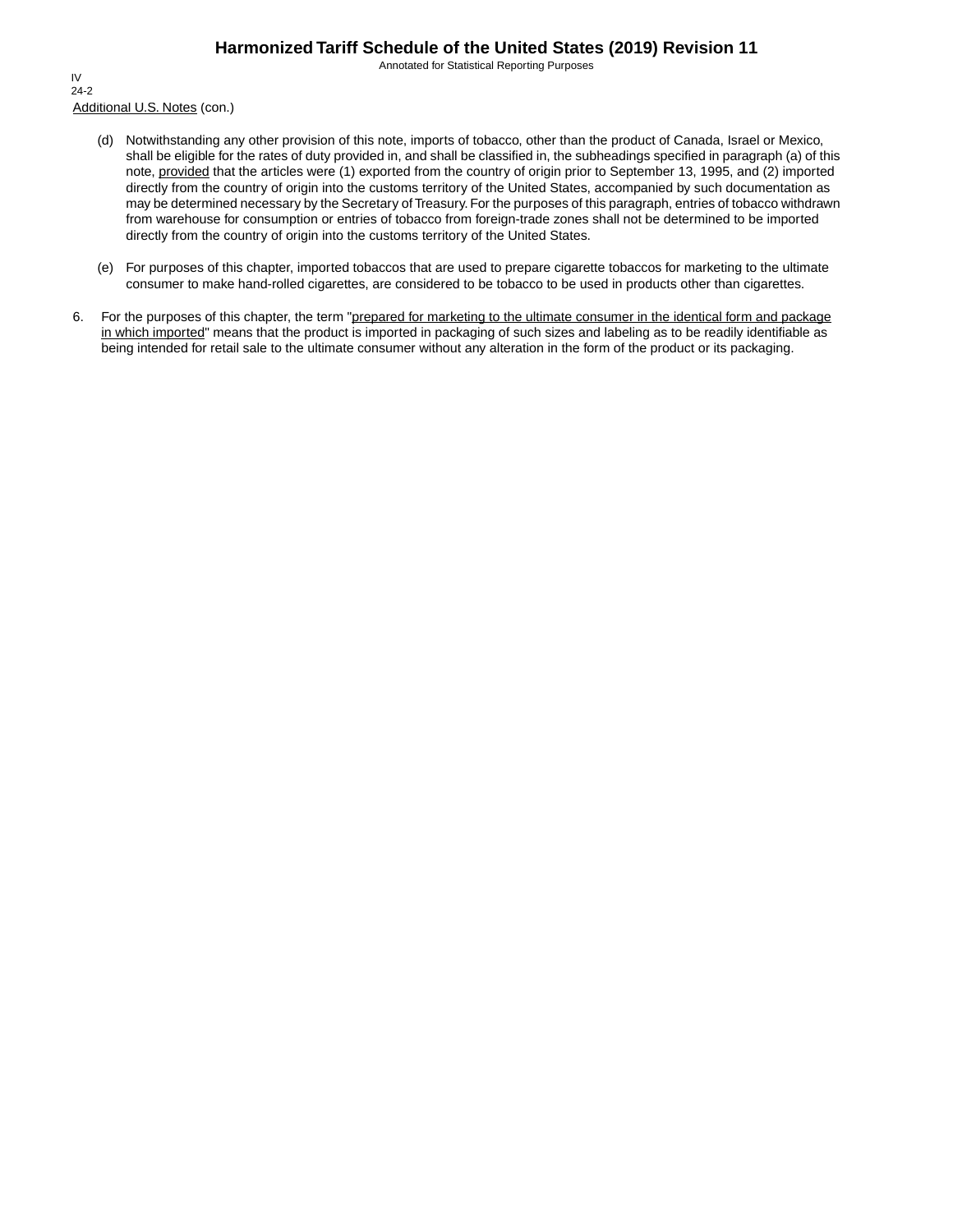Annotated for Statistical Reporting Purposes

Additional U.S. Notes (con.) IV 24-2

- (d) Notwithstanding any other provision of this note, imports of tobacco, other than the product of Canada, Israel or Mexico, shall be eligible for the rates of duty provided in, and shall be classified in, the subheadings specified in paragraph (a) of this note, provided that the articles were (1) exported from the country of origin prior to September 13, 1995, and (2) imported directly from the country of origin into the customs territory of the United States, accompanied by such documentation as may be determined necessary by the Secretary of Treasury. For the purposes of this paragraph, entries of tobacco withdrawn from warehouse for consumption or entries of tobacco from foreign-trade zones shall not be determined to be imported directly from the country of origin into the customs territory of the United States.
- (e) For purposes of this chapter, imported tobaccos that are used to prepare cigarette tobaccos for marketing to the ultimate consumer to make hand-rolled cigarettes, are considered to be tobacco to be used in products other than cigarettes.
- 6. For the purposes of this chapter, the term "prepared for marketing to the ultimate consumer in the identical form and package in which imported" means that the product is imported in packaging of such sizes and labeling as to be readily identifiable as being intended for retail sale to the ultimate consumer without any alteration in the form of the product or its packaging.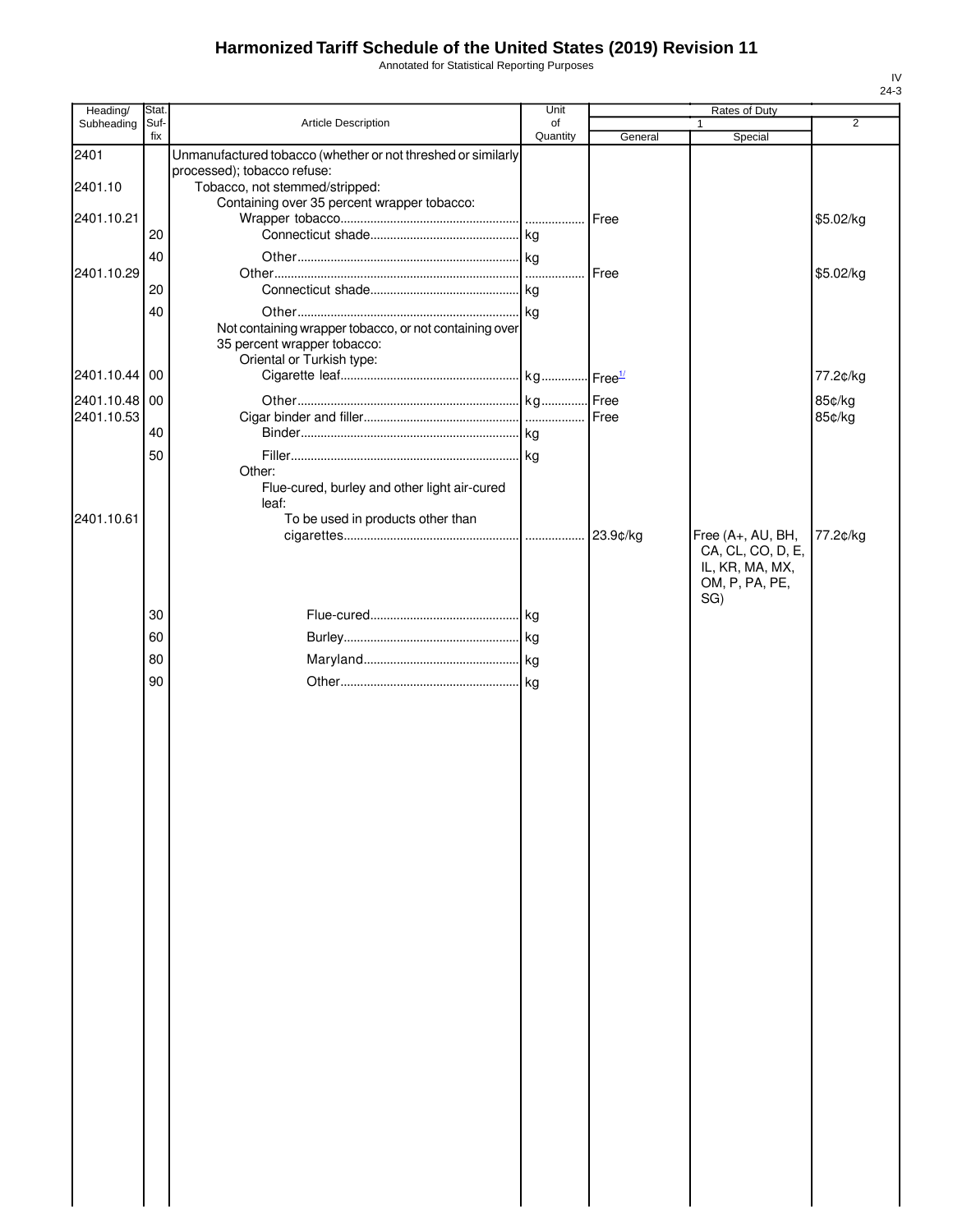Annotated for Statistical Reporting Purposes

| Heading/                    | Stat.       |                                                                                                                    | Unit           |               | Rates of Duty                                                 |                |
|-----------------------------|-------------|--------------------------------------------------------------------------------------------------------------------|----------------|---------------|---------------------------------------------------------------|----------------|
| Subheading                  | Suf-<br>fix | Article Description                                                                                                | of<br>Quantity | General       | 1                                                             | $\overline{2}$ |
| 2401                        |             | Unmanufactured tobacco (whether or not threshed or similarly                                                       |                |               | Special                                                       |                |
| 2401.10                     |             | processed); tobacco refuse:<br>Tobacco, not stemmed/stripped:<br>Containing over 35 percent wrapper tobacco:       |                |               |                                                               |                |
| 2401.10.21                  | 20          |                                                                                                                    |                | <b>I</b> Free |                                                               | \$5.02/kg      |
|                             | 40          |                                                                                                                    |                |               |                                                               |                |
| 2401.10.29                  | 20          |                                                                                                                    | .              | Free          |                                                               | \$5.02/kg      |
|                             | 40          |                                                                                                                    |                |               |                                                               |                |
|                             |             | Not containing wrapper tobacco, or not containing over<br>35 percent wrapper tobacco:<br>Oriental or Turkish type: |                |               |                                                               |                |
| 2401.10.44 00               |             |                                                                                                                    |                |               |                                                               | 77.2¢/kg       |
| 2401.10.48 00<br>2401.10.53 |             |                                                                                                                    |                | Free          |                                                               | 85¢/kg         |
|                             | 40          |                                                                                                                    |                |               |                                                               | 85¢/kg         |
|                             | 50          |                                                                                                                    |                |               |                                                               |                |
|                             |             | Other:<br>Flue-cured, burley and other light air-cured<br>leaf:                                                    |                |               |                                                               |                |
| 2401.10.61                  |             | To be used in products other than                                                                                  |                | 23.9¢/kg      | Free (A+, AU, BH,                                             | 77.2¢/kg       |
|                             |             |                                                                                                                    |                |               | CA, CL, CO, D, E,<br>IL, KR, MA, MX,<br>OM, P, PA, PE,<br>SG) |                |
|                             | 30          |                                                                                                                    |                |               |                                                               |                |
|                             | 60          |                                                                                                                    |                |               |                                                               |                |
|                             | 80          |                                                                                                                    |                |               |                                                               |                |
|                             | 90          |                                                                                                                    |                |               |                                                               |                |
|                             |             |                                                                                                                    |                |               |                                                               |                |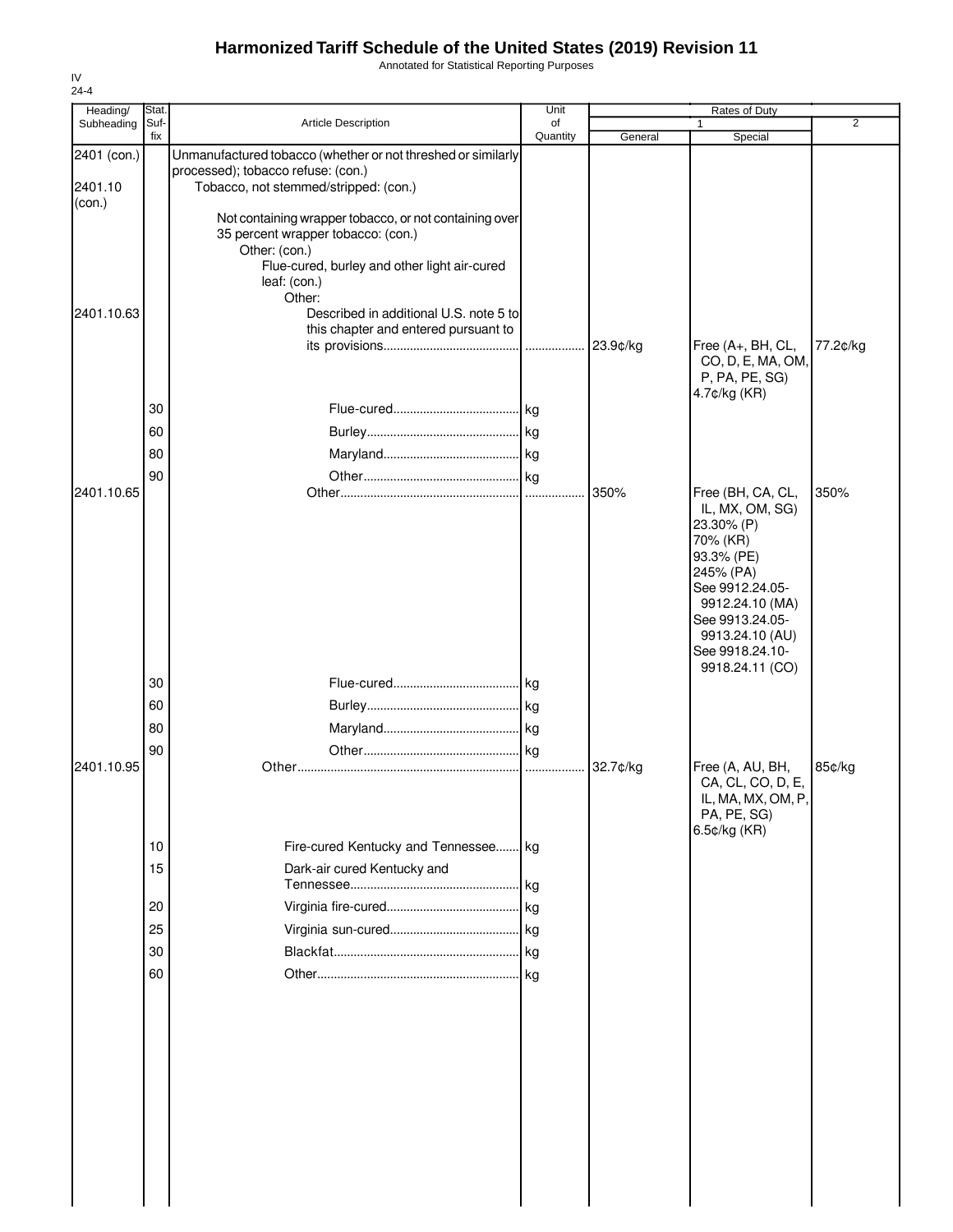Annotated for Statistical Reporting Purposes

| Heading/    | Stat.       |                                                                             | Unit           |          | Rates of Duty                      |                |
|-------------|-------------|-----------------------------------------------------------------------------|----------------|----------|------------------------------------|----------------|
| Subheading  | Suf-<br>fix | Article Description                                                         | of<br>Quantity | General  | $\mathbf{1}$<br>Special            | $\overline{2}$ |
| 2401 (con.) |             | Unmanufactured tobacco (whether or not threshed or similarly                |                |          |                                    |                |
| 2401.10     |             | processed); tobacco refuse: (con.)<br>Tobacco, not stemmed/stripped: (con.) |                |          |                                    |                |
| (con.)      |             |                                                                             |                |          |                                    |                |
|             |             | Not containing wrapper tobacco, or not containing over                      |                |          |                                    |                |
|             |             | 35 percent wrapper tobacco: (con.)<br>Other: (con.)                         |                |          |                                    |                |
|             |             | Flue-cured, burley and other light air-cured                                |                |          |                                    |                |
|             |             | leaf: (con.)                                                                |                |          |                                    |                |
|             |             | Other:<br>Described in additional U.S. note 5 to                            |                |          |                                    |                |
| 2401.10.63  |             | this chapter and entered pursuant to                                        |                |          |                                    |                |
|             |             |                                                                             |                | 23.9¢/kg | Free (A+, BH, CL,                  | 77.2¢/kg       |
|             |             |                                                                             |                |          | CO, D, E, MA, OM,                  |                |
|             |             |                                                                             |                |          | P, PA, PE, SG)<br>4.7¢/kg (KR)     |                |
|             | 30          |                                                                             |                |          |                                    |                |
|             | 60          |                                                                             |                |          |                                    |                |
|             | 80          |                                                                             |                |          |                                    |                |
|             | 90          |                                                                             |                |          |                                    |                |
| 2401.10.65  |             |                                                                             |                | 350%     | Free (BH, CA, CL,                  | 350%           |
|             |             |                                                                             |                |          | IL, MX, OM, SG)                    |                |
|             |             |                                                                             |                |          | 23.30% (P)<br>70% (KR)             |                |
|             |             |                                                                             |                |          | 93.3% (PE)                         |                |
|             |             |                                                                             |                |          | 245% (PA)                          |                |
|             |             |                                                                             |                |          | See 9912.24.05-<br>9912.24.10 (MA) |                |
|             |             |                                                                             |                |          | See 9913.24.05-                    |                |
|             |             |                                                                             |                |          | 9913.24.10 (AU)                    |                |
|             |             |                                                                             |                |          | See 9918.24.10-<br>9918.24.11 (CO) |                |
|             | 30          |                                                                             |                |          |                                    |                |
|             | 60          |                                                                             |                |          |                                    |                |
|             | 80          |                                                                             |                |          |                                    |                |
|             | 90          |                                                                             |                |          |                                    |                |
| 2401.10.95  |             |                                                                             |                | 32.7¢/kg | Free (A, AU, BH,                   | 85¢/kg         |
|             |             |                                                                             |                |          | CA, CL, CO, D, E,                  |                |
|             |             |                                                                             |                |          | IL, MA, MX, OM, P,<br>PA, PE, SG)  |                |
|             |             |                                                                             |                |          | 6.5¢/kg (KR)                       |                |
|             | 10          | Fire-cured Kentucky and Tennessee kg                                        |                |          |                                    |                |
|             | 15          | Dark-air cured Kentucky and                                                 |                |          |                                    |                |
|             |             |                                                                             |                |          |                                    |                |
|             | 20          |                                                                             |                |          |                                    |                |
|             | 25          |                                                                             |                |          |                                    |                |
|             | 30          |                                                                             |                |          |                                    |                |
|             | 60          |                                                                             |                |          |                                    |                |
|             |             |                                                                             |                |          |                                    |                |
|             |             |                                                                             |                |          |                                    |                |
|             |             |                                                                             |                |          |                                    |                |
|             |             |                                                                             |                |          |                                    |                |
|             |             |                                                                             |                |          |                                    |                |
|             |             |                                                                             |                |          |                                    |                |
|             |             |                                                                             |                |          |                                    |                |
|             |             |                                                                             |                |          |                                    |                |
|             |             |                                                                             |                |          |                                    |                |
|             |             |                                                                             |                |          |                                    |                |
|             |             |                                                                             |                |          |                                    |                |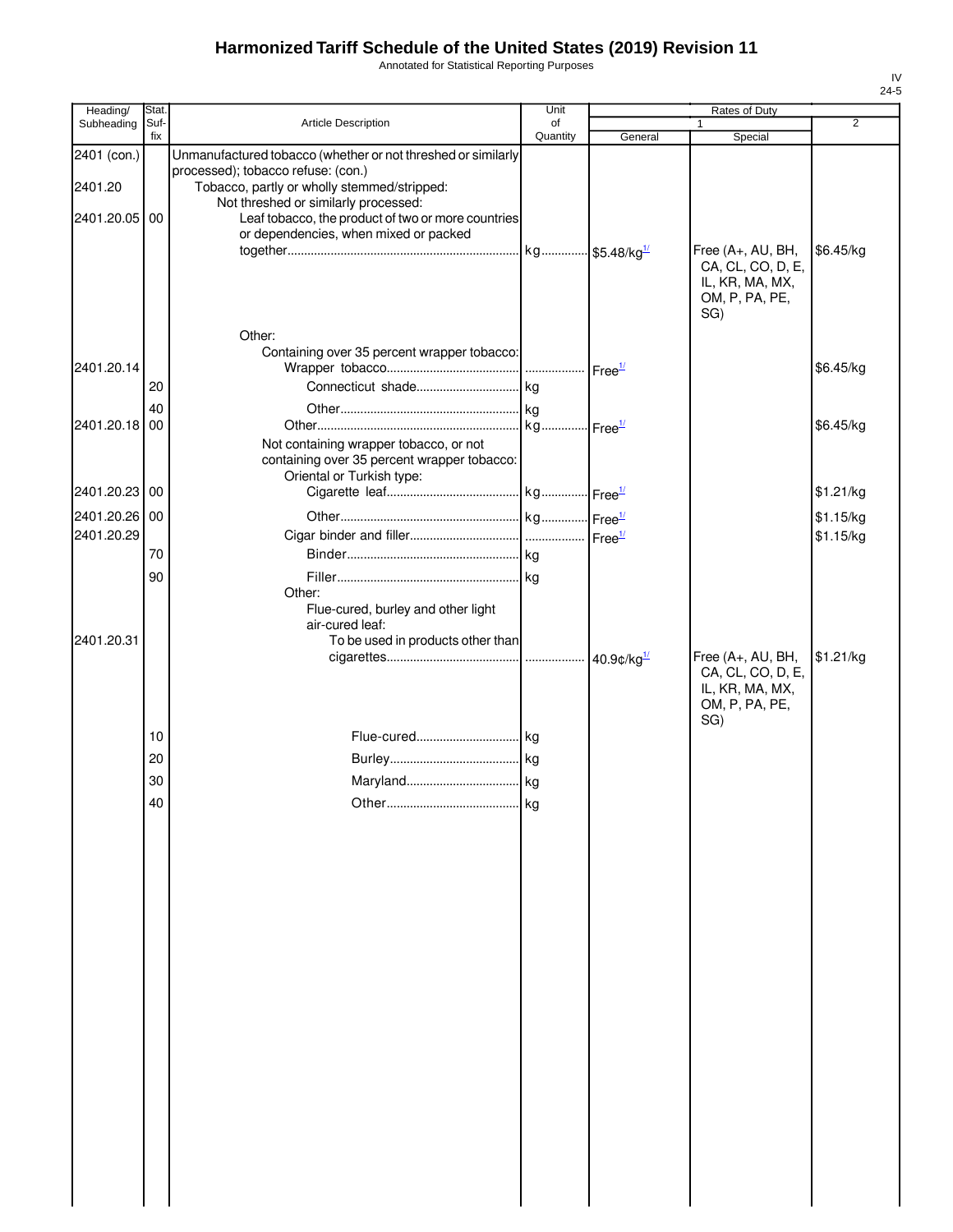Annotated for Statistical Reporting Purposes

| Heading/      | Stat.       |                                                                                                                           | Unit           |         | Rates of Duty                                                                      |                |
|---------------|-------------|---------------------------------------------------------------------------------------------------------------------------|----------------|---------|------------------------------------------------------------------------------------|----------------|
| Subheading    | Suf-<br>fix | Article Description                                                                                                       | of<br>Quantity |         |                                                                                    | $\overline{2}$ |
| 2401 (con.)   |             | Unmanufactured tobacco (whether or not threshed or similarly                                                              |                | General | Special                                                                            |                |
| 2401.20       |             | processed); tobacco refuse: (con.)<br>Tobacco, partly or wholly stemmed/stripped:<br>Not threshed or similarly processed: |                |         |                                                                                    |                |
| 2401.20.05 00 |             | Leaf tobacco, the product of two or more countries<br>or dependencies, when mixed or packed                               |                |         |                                                                                    |                |
|               |             | Other:                                                                                                                    |                |         | Free (A+, AU, BH,<br>CA, CL, CO, D, E,<br>IL, KR, MA, MX,<br>OM, P, PA, PE,<br>SG) | \$6.45/kg      |
| 2401.20.14    |             | Containing over 35 percent wrapper tobacco:                                                                               |                |         |                                                                                    | \$6.45/kg      |
|               | 20          |                                                                                                                           |                |         |                                                                                    |                |
|               | 40          |                                                                                                                           |                |         |                                                                                    |                |
| 2401.20.18 00 |             |                                                                                                                           |                |         |                                                                                    | \$6.45/kg      |
|               |             | Not containing wrapper tobacco, or not<br>containing over 35 percent wrapper tobacco:<br>Oriental or Turkish type:        |                |         |                                                                                    |                |
| 2401.20.23 00 |             |                                                                                                                           |                |         |                                                                                    | \$1.21/kg      |
| 2401.20.26 00 |             |                                                                                                                           |                |         |                                                                                    | \$1.15/kg      |
| 2401.20.29    |             |                                                                                                                           |                |         |                                                                                    | \$1.15/kg      |
|               | 70          |                                                                                                                           |                |         |                                                                                    |                |
|               | 90          | Other:<br>Flue-cured, burley and other light<br>air-cured leaf:                                                           |                |         |                                                                                    |                |
| 2401.20.31    |             | To be used in products other than                                                                                         |                |         | Free (A+, AU, BH,<br>CA, CL, CO, D, E,<br>IL, KR, MA, MX,<br>OM, P, PA, PE,<br>SG) | \$1.21/kg      |
|               | 10          |                                                                                                                           |                |         |                                                                                    |                |
|               | 20          |                                                                                                                           |                |         |                                                                                    |                |
|               | 30          |                                                                                                                           |                |         |                                                                                    |                |
|               |             |                                                                                                                           |                |         |                                                                                    |                |
|               | 40          |                                                                                                                           | kg             |         |                                                                                    |                |
|               |             |                                                                                                                           |                |         |                                                                                    |                |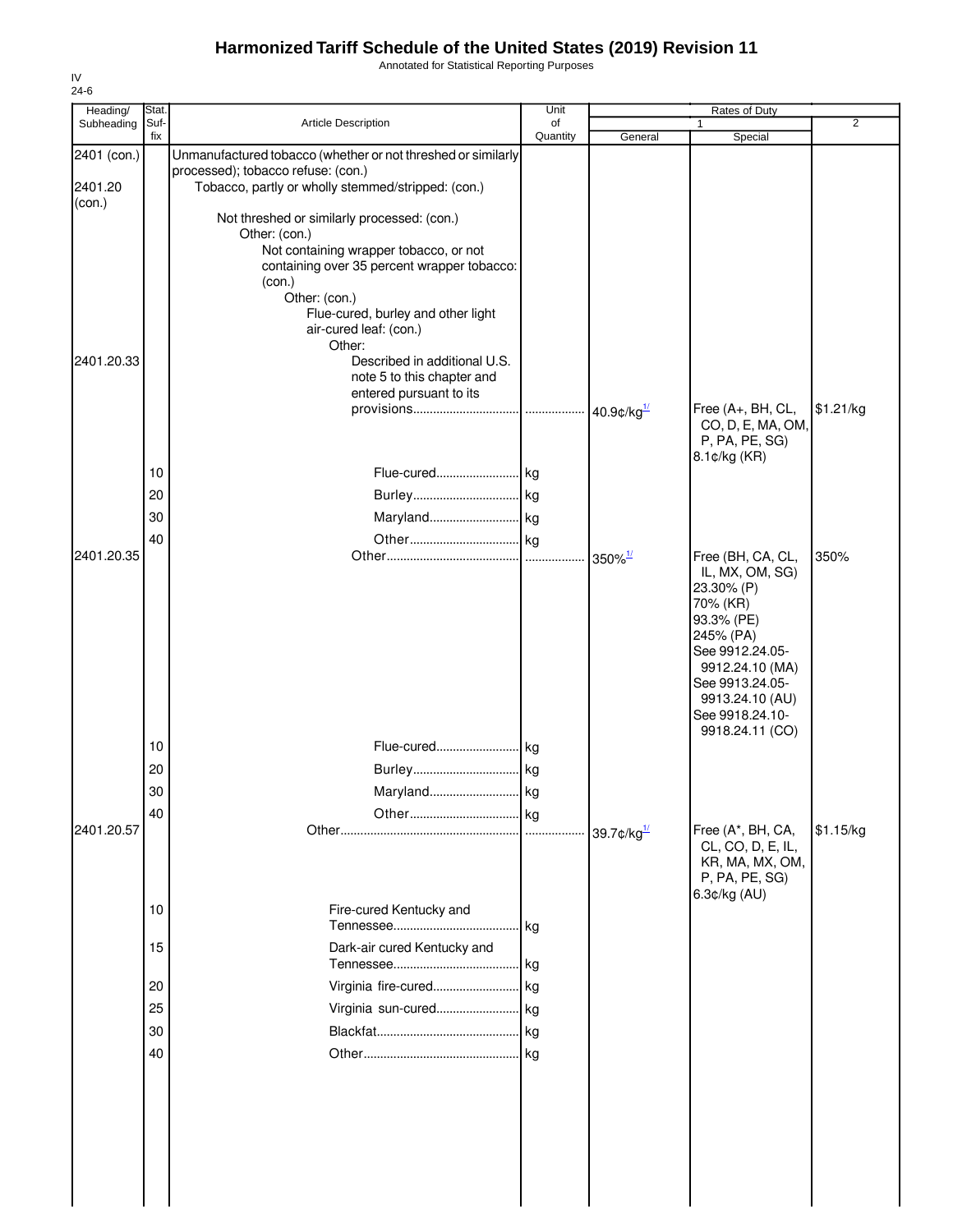Annotated for Statistical Reporting Purposes

| Heading/          | Stat.       |                                                                                       | Unit           |                       | Rates of Duty                        |                |
|-------------------|-------------|---------------------------------------------------------------------------------------|----------------|-----------------------|--------------------------------------|----------------|
| Subheading        | Suf-<br>fix | <b>Article Description</b>                                                            | of<br>Quantity | General               | Special                              | $\overline{2}$ |
| 2401 (con.)       |             | Unmanufactured tobacco (whether or not threshed or similarly                          |                |                       |                                      |                |
|                   |             | processed); tobacco refuse: (con.)                                                    |                |                       |                                      |                |
| 2401.20<br>(con.) |             | Tobacco, partly or wholly stemmed/stripped: (con.)                                    |                |                       |                                      |                |
|                   |             | Not threshed or similarly processed: (con.)                                           |                |                       |                                      |                |
|                   |             | Other: (con.)                                                                         |                |                       |                                      |                |
|                   |             | Not containing wrapper tobacco, or not<br>containing over 35 percent wrapper tobacco: |                |                       |                                      |                |
|                   |             | (con.)                                                                                |                |                       |                                      |                |
|                   |             | Other: (con.)                                                                         |                |                       |                                      |                |
|                   |             | Flue-cured, burley and other light                                                    |                |                       |                                      |                |
|                   |             | air-cured leaf: (con.)<br>Other:                                                      |                |                       |                                      |                |
| 2401.20.33        |             | Described in additional U.S.                                                          |                |                       |                                      |                |
|                   |             | note 5 to this chapter and                                                            |                |                       |                                      |                |
|                   |             | entered pursuant to its                                                               |                |                       | Free (A+, BH, CL,                    | \$1.21/kg      |
|                   |             |                                                                                       |                | 40.9¢/kg $^{1/2}$     | CO, D, E, MA, OM,                    |                |
|                   |             |                                                                                       |                |                       | P, PA, PE, SG)                       |                |
|                   |             | Flue-cured kg                                                                         |                |                       | 8.1¢/kg (KR)                         |                |
|                   | 10          |                                                                                       |                |                       |                                      |                |
|                   | 20          |                                                                                       |                |                       |                                      |                |
|                   | 30          | Maryland kg                                                                           |                |                       |                                      |                |
|                   | 40          |                                                                                       |                |                       |                                      |                |
| 2401.20.35        |             |                                                                                       | .              | $350\%$ <sup>1/</sup> | Free (BH, CA, CL,<br>IL, MX, OM, SG) | 350%           |
|                   |             |                                                                                       |                |                       | 23.30% (P)                           |                |
|                   |             |                                                                                       |                |                       | 70% (KR)                             |                |
|                   |             |                                                                                       |                |                       | 93.3% (PE)<br>245% (PA)              |                |
|                   |             |                                                                                       |                |                       | See 9912.24.05-                      |                |
|                   |             |                                                                                       |                |                       | 9912.24.10 (MA)                      |                |
|                   |             |                                                                                       |                |                       | See 9913.24.05-                      |                |
|                   |             |                                                                                       |                |                       | 9913.24.10 (AU)<br>See 9918.24.10-   |                |
|                   |             |                                                                                       |                |                       | 9918.24.11 (CO)                      |                |
|                   | 10          | Flue-cured kg                                                                         |                |                       |                                      |                |
|                   | 20          |                                                                                       |                |                       |                                      |                |
|                   | 30          | Maryland                                                                              | kg             |                       |                                      |                |
|                   | 40          |                                                                                       | kg             |                       |                                      |                |
| 2401.20.57        |             |                                                                                       |                |                       | Free (A*, BH, CA,                    | \$1.15/kg      |
|                   |             |                                                                                       |                |                       | CL, CO, D, E, IL,<br>KR, MA, MX, OM, |                |
|                   |             |                                                                                       |                |                       | P, PA, PE, SG)                       |                |
|                   |             |                                                                                       |                |                       | 6.3¢/kg (AU)                         |                |
|                   | 10          | Fire-cured Kentucky and                                                               | kg             |                       |                                      |                |
|                   | 15          | Dark-air cured Kentucky and                                                           |                |                       |                                      |                |
|                   |             |                                                                                       | kg             |                       |                                      |                |
|                   | 20          | Virginia fire-cured                                                                   | kg             |                       |                                      |                |
|                   | 25          | Virginia sun-cured kg                                                                 |                |                       |                                      |                |
|                   | 30          |                                                                                       |                |                       |                                      |                |
|                   | 40          |                                                                                       |                |                       |                                      |                |
|                   |             |                                                                                       |                |                       |                                      |                |
|                   |             |                                                                                       |                |                       |                                      |                |
|                   |             |                                                                                       |                |                       |                                      |                |
|                   |             |                                                                                       |                |                       |                                      |                |
|                   |             |                                                                                       |                |                       |                                      |                |
|                   |             |                                                                                       |                |                       |                                      |                |
|                   |             |                                                                                       |                |                       |                                      |                |
|                   |             |                                                                                       |                |                       |                                      |                |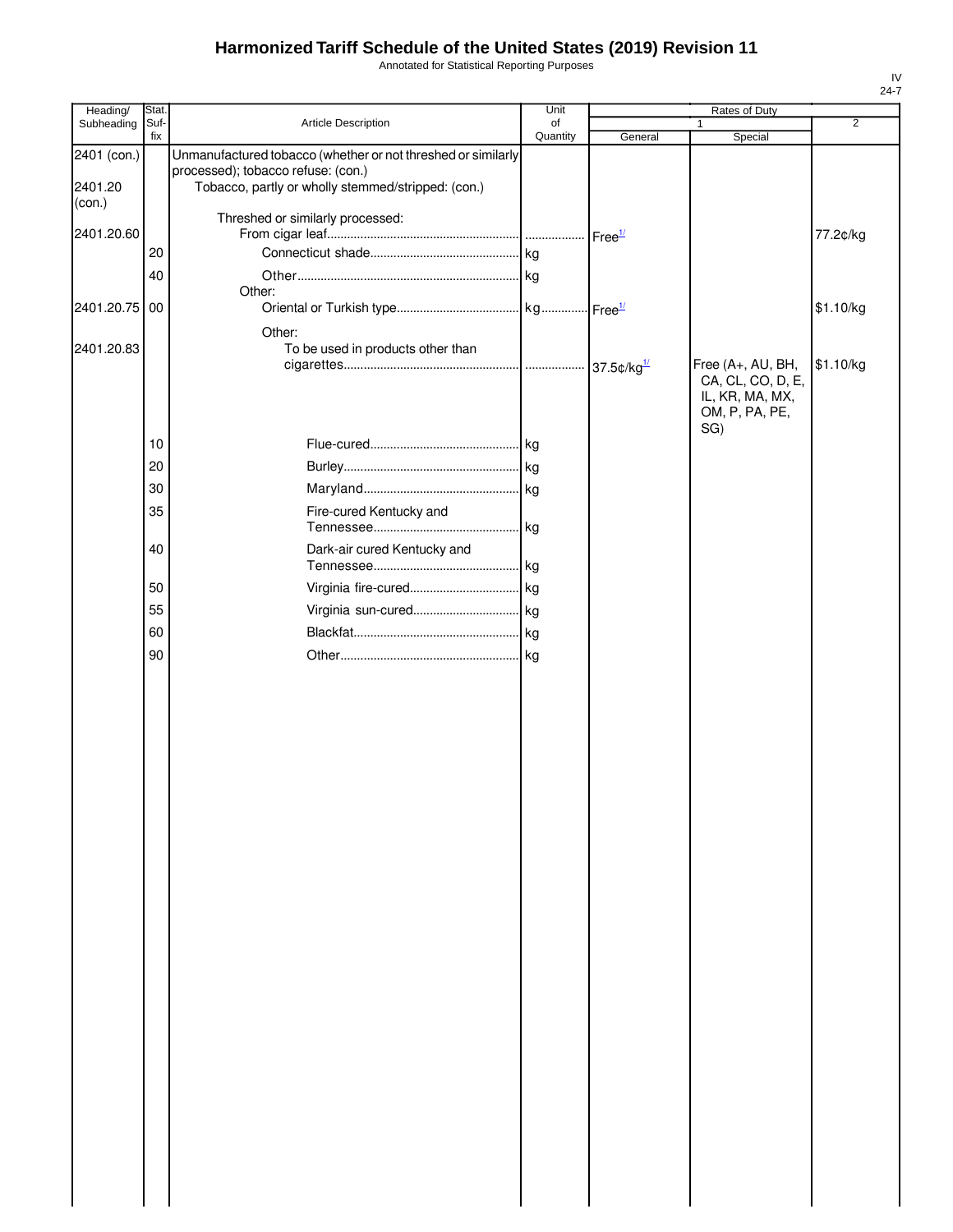Annotated for Statistical Reporting Purposes

| Heading/          | Stat.       |                                                                                                    | Unit           |         | Rates of Duty                                                                      |                |
|-------------------|-------------|----------------------------------------------------------------------------------------------------|----------------|---------|------------------------------------------------------------------------------------|----------------|
| Subheading        | Suf-<br>fix | Article Description                                                                                | of<br>Quantity | General | $\mathbf{1}$<br>Special                                                            | $\overline{2}$ |
| 2401 (con.)       |             | Unmanufactured tobacco (whether or not threshed or similarly<br>processed); tobacco refuse: (con.) |                |         |                                                                                    |                |
| 2401.20<br>(con.) |             | Tobacco, partly or wholly stemmed/stripped: (con.)                                                 |                |         |                                                                                    |                |
| 2401.20.60        |             | Threshed or similarly processed:                                                                   |                |         |                                                                                    | 77.2¢/kg       |
|                   | 20          |                                                                                                    |                |         |                                                                                    |                |
|                   | 40          |                                                                                                    |                |         |                                                                                    |                |
| 2401.20.75        | 00          | Other:                                                                                             |                |         |                                                                                    | \$1.10/kg      |
| 2401.20.83        |             | Other:<br>To be used in products other than                                                        |                |         |                                                                                    |                |
|                   |             |                                                                                                    |                |         | Free (A+, AU, BH,<br>CA, CL, CO, D, E,<br>IL, KR, MA, MX,<br>OM, P, PA, PE,<br>SG) | \$1.10/kg      |
|                   | 10          |                                                                                                    |                |         |                                                                                    |                |
|                   | 20          |                                                                                                    |                |         |                                                                                    |                |
|                   | 30          |                                                                                                    |                |         |                                                                                    |                |
|                   | 35          | Fire-cured Kentucky and                                                                            |                |         |                                                                                    |                |
|                   | 40          | Dark-air cured Kentucky and                                                                        |                |         |                                                                                    |                |
|                   | 50          |                                                                                                    |                |         |                                                                                    |                |
|                   | 55          |                                                                                                    |                |         |                                                                                    |                |
|                   | 60          |                                                                                                    |                |         |                                                                                    |                |
|                   | 90          |                                                                                                    |                |         |                                                                                    |                |
|                   |             |                                                                                                    |                |         |                                                                                    |                |
|                   |             |                                                                                                    |                |         |                                                                                    |                |
|                   |             |                                                                                                    |                |         |                                                                                    |                |
|                   |             |                                                                                                    |                |         |                                                                                    |                |
|                   |             |                                                                                                    |                |         |                                                                                    |                |
|                   |             |                                                                                                    |                |         |                                                                                    |                |
|                   |             |                                                                                                    |                |         |                                                                                    |                |
|                   |             |                                                                                                    |                |         |                                                                                    |                |
|                   |             |                                                                                                    |                |         |                                                                                    |                |
|                   |             |                                                                                                    |                |         |                                                                                    |                |
|                   |             |                                                                                                    |                |         |                                                                                    |                |
|                   |             |                                                                                                    |                |         |                                                                                    |                |
|                   |             |                                                                                                    |                |         |                                                                                    |                |
|                   |             |                                                                                                    |                |         |                                                                                    |                |
|                   |             |                                                                                                    |                |         |                                                                                    |                |
|                   |             |                                                                                                    |                |         |                                                                                    |                |
|                   |             |                                                                                                    |                |         |                                                                                    |                |
|                   |             |                                                                                                    |                |         |                                                                                    |                |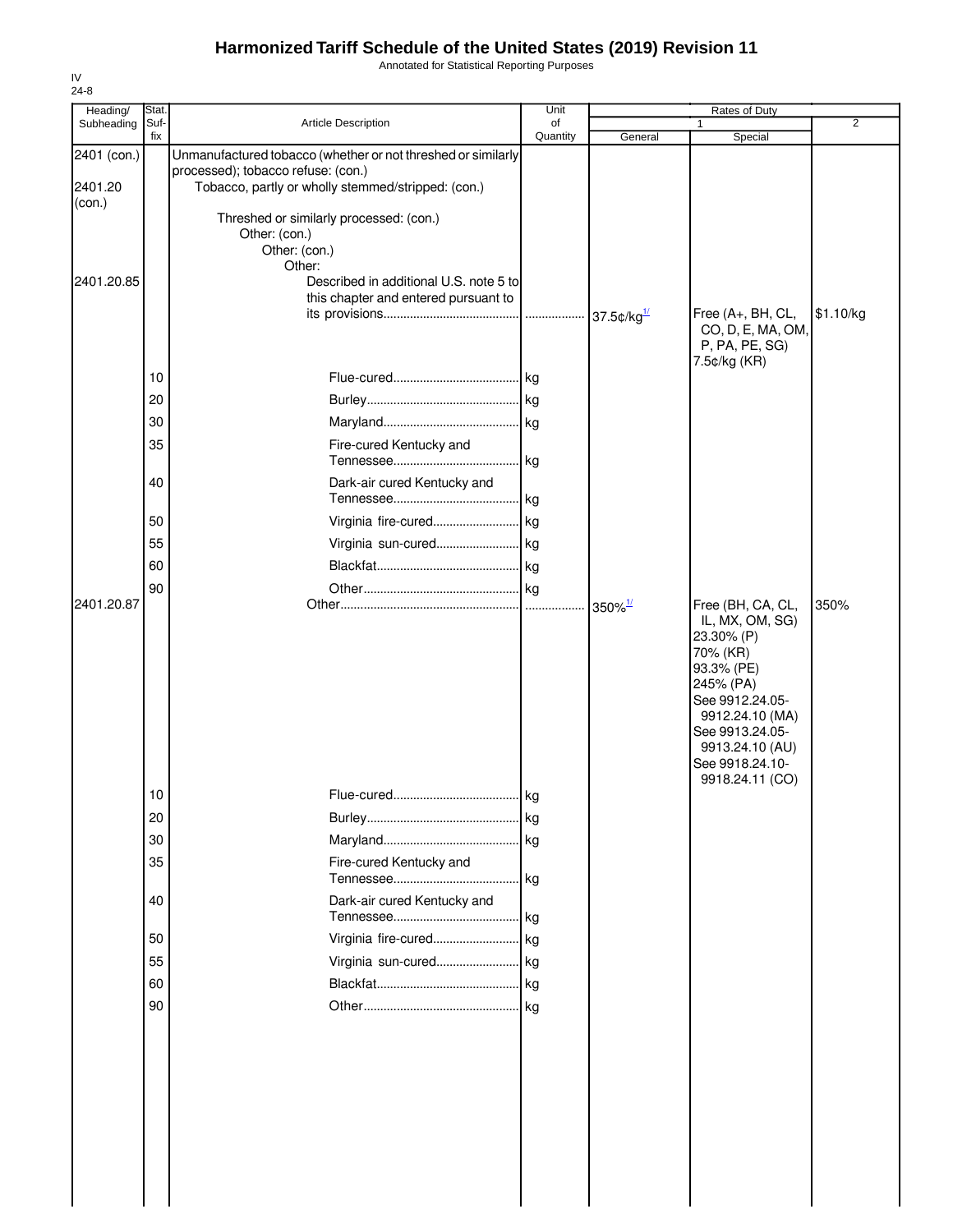Annotated for Statistical Reporting Purposes

| Heading/    | Stat.       |                                                                                | Unit           |                       | <b>Rates of Duty</b>               |           |
|-------------|-------------|--------------------------------------------------------------------------------|----------------|-----------------------|------------------------------------|-----------|
| Subheading  | Suf-<br>fix | <b>Article Description</b>                                                     | of<br>Quantity | General               | $\mathbf{1}$<br>Special            | 2         |
| 2401 (con.) |             | Unmanufactured tobacco (whether or not threshed or similarly                   |                |                       |                                    |           |
|             |             | processed); tobacco refuse: (con.)                                             |                |                       |                                    |           |
| 2401.20     |             | Tobacco, partly or wholly stemmed/stripped: (con.)                             |                |                       |                                    |           |
| (con.)      |             | Threshed or similarly processed: (con.)                                        |                |                       |                                    |           |
|             |             | Other: (con.)                                                                  |                |                       |                                    |           |
|             |             | Other: (con.)                                                                  |                |                       |                                    |           |
|             |             | Other:                                                                         |                |                       |                                    |           |
| 2401.20.85  |             | Described in additional U.S. note 5 to<br>this chapter and entered pursuant to |                |                       |                                    |           |
|             |             |                                                                                | .              | 37.5 $\frac{d}{dx}$   | Free (A+, BH, CL,                  | \$1.10/kg |
|             |             |                                                                                |                |                       | CO, D, E, MA, OM,                  |           |
|             |             |                                                                                |                |                       | P, PA, PE, SG)                     |           |
|             | 10          |                                                                                |                |                       | 7.5¢/kg (KR)                       |           |
|             | 20          |                                                                                |                |                       |                                    |           |
|             |             |                                                                                |                |                       |                                    |           |
|             | 30          |                                                                                |                |                       |                                    |           |
|             | 35          | Fire-cured Kentucky and                                                        |                |                       |                                    |           |
|             |             |                                                                                |                |                       |                                    |           |
|             | 40          | Dark-air cured Kentucky and                                                    |                |                       |                                    |           |
|             |             |                                                                                |                |                       |                                    |           |
|             | 50          | Virginia fire-cured kg                                                         |                |                       |                                    |           |
|             | 55          | Virginia sun-cured kg                                                          |                |                       |                                    |           |
|             | 60          |                                                                                |                |                       |                                    |           |
|             | 90          |                                                                                |                |                       |                                    |           |
| 2401.20.87  |             |                                                                                |                | $350\%$ <sup>1/</sup> | Free (BH, CA, CL,                  | 350%      |
|             |             |                                                                                |                |                       | IL, MX, OM, SG)                    |           |
|             |             |                                                                                |                |                       | 23.30% (P)<br>70% (KR)             |           |
|             |             |                                                                                |                |                       | 93.3% (PE)                         |           |
|             |             |                                                                                |                |                       | 245% (PA)                          |           |
|             |             |                                                                                |                |                       | See 9912.24.05-                    |           |
|             |             |                                                                                |                |                       | 9912.24.10 (MA)<br>See 9913.24.05- |           |
|             |             |                                                                                |                |                       | 9913.24.10 (AU)                    |           |
|             |             |                                                                                |                |                       | See 9918.24.10-                    |           |
|             | 10          |                                                                                |                |                       | 9918.24.11 (CO)                    |           |
|             |             |                                                                                |                |                       |                                    |           |
|             | 20          |                                                                                |                |                       |                                    |           |
|             | 30          |                                                                                |                |                       |                                    |           |
|             | 35          | Fire-cured Kentucky and                                                        |                |                       |                                    |           |
|             |             |                                                                                |                |                       |                                    |           |
|             | 40          | Dark-air cured Kentucky and                                                    |                |                       |                                    |           |
|             |             |                                                                                |                |                       |                                    |           |
|             | 50          |                                                                                |                |                       |                                    |           |
|             | 55          | Virginia sun-cured kg                                                          |                |                       |                                    |           |
|             | 60          |                                                                                |                |                       |                                    |           |
|             | 90          |                                                                                |                |                       |                                    |           |
|             |             |                                                                                |                |                       |                                    |           |
|             |             |                                                                                |                |                       |                                    |           |
|             |             |                                                                                |                |                       |                                    |           |
|             |             |                                                                                |                |                       |                                    |           |
|             |             |                                                                                |                |                       |                                    |           |
|             |             |                                                                                |                |                       |                                    |           |
|             |             |                                                                                |                |                       |                                    |           |
|             |             |                                                                                |                |                       |                                    |           |
|             |             |                                                                                |                |                       |                                    |           |
|             |             |                                                                                |                |                       |                                    |           |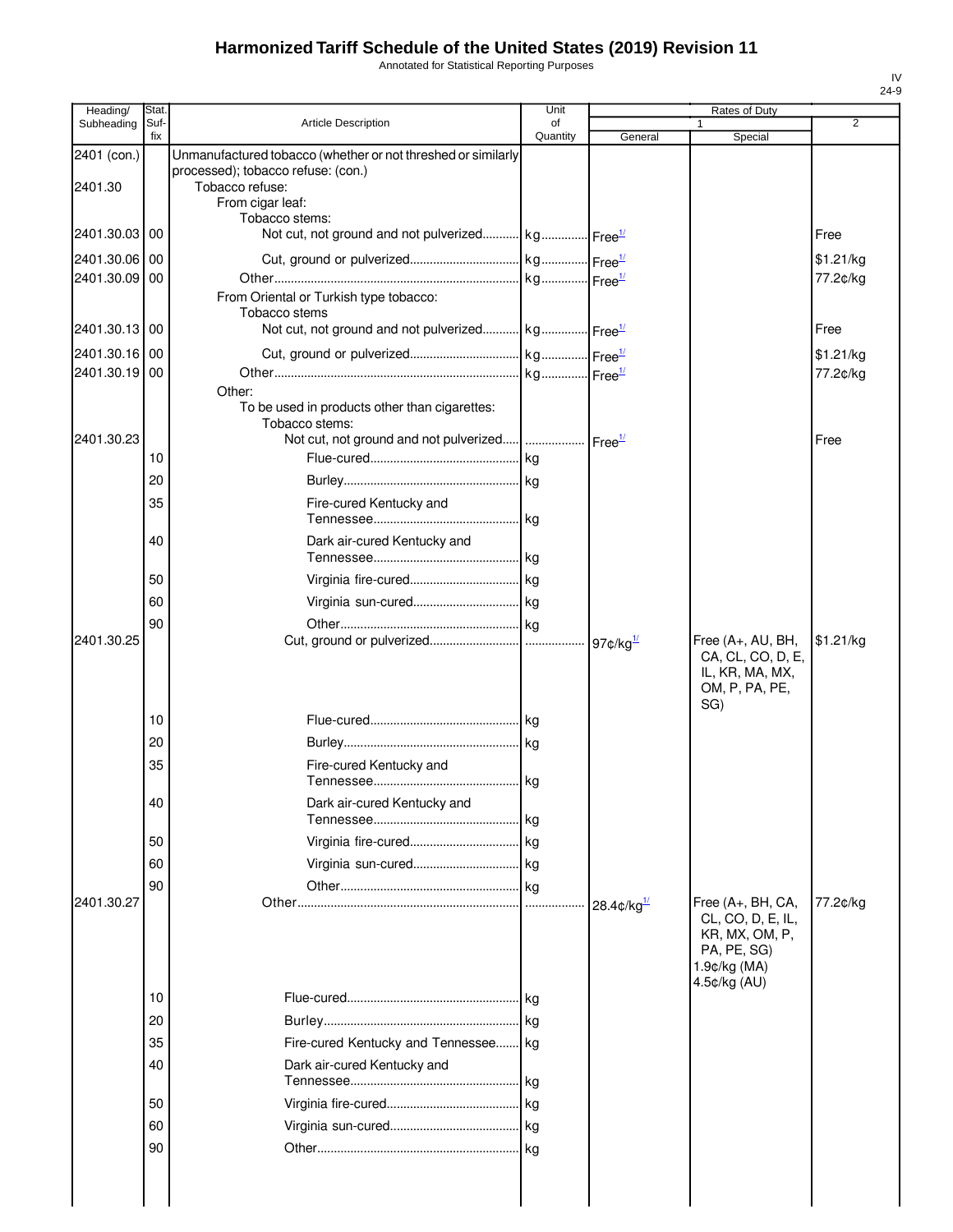Annotated for Statistical Reporting Purposes

| Heading/                       | Stat.       |                                                                                                                                           | Unit           |                                       | Rates of Duty                                                                                           |                       |
|--------------------------------|-------------|-------------------------------------------------------------------------------------------------------------------------------------------|----------------|---------------------------------------|---------------------------------------------------------------------------------------------------------|-----------------------|
| Subheading                     | Suf-<br>fix | <b>Article Description</b>                                                                                                                | of<br>Quantity | General                               | 1<br>Special                                                                                            | $\overline{2}$        |
| 2401 (con.)<br>2401.30         |             | Unmanufactured tobacco (whether or not threshed or similarly<br>processed); tobacco refuse: (con.)<br>Tobacco refuse:<br>From cigar leaf: |                |                                       |                                                                                                         |                       |
| 2401.30.03 00                  |             | Tobacco stems:<br>Not cut, not ground and not pulverized kg Free <sup>1/</sup>                                                            |                |                                       |                                                                                                         | Free                  |
| 2401.30.06 00<br>2401.30.09 00 |             |                                                                                                                                           |                |                                       |                                                                                                         | \$1.21/kg<br>77.2¢/kg |
| 2401.30.13 00                  |             | From Oriental or Turkish type tobacco:<br>Tobacco stems<br>Not cut, not ground and not pulverized kg Free <sup>1/</sup>                   |                |                                       |                                                                                                         | Free                  |
| 2401.30.16 00<br>2401.30.19 00 |             |                                                                                                                                           |                |                                       |                                                                                                         | \$1.21/kg<br>77.2¢/kg |
| 2401.30.23                     | 10          | Other:<br>To be used in products other than cigarettes:<br>Tobacco stems:                                                                 |                |                                       |                                                                                                         | Free                  |
|                                |             |                                                                                                                                           |                |                                       |                                                                                                         |                       |
|                                | 20<br>35    | Fire-cured Kentucky and                                                                                                                   |                |                                       |                                                                                                         |                       |
|                                | 40          | Dark air-cured Kentucky and                                                                                                               |                |                                       |                                                                                                         |                       |
|                                | 50          |                                                                                                                                           |                |                                       |                                                                                                         |                       |
|                                | 60          |                                                                                                                                           |                |                                       |                                                                                                         |                       |
|                                | 90          |                                                                                                                                           |                |                                       |                                                                                                         |                       |
| 2401.30.25                     |             |                                                                                                                                           |                |                                       | Free (A+, AU, BH,<br>CA, CL, CO, D, E,<br>IL, KR, MA, MX,<br>OM, P, PA, PE,<br>SG)                      | \$1.21/kg             |
|                                | 10          |                                                                                                                                           |                |                                       |                                                                                                         |                       |
|                                | 20          |                                                                                                                                           |                |                                       |                                                                                                         |                       |
|                                | 35          | Fire-cured Kentucky and                                                                                                                   |                |                                       |                                                                                                         |                       |
|                                | 40          | Dark air-cured Kentucky and                                                                                                               | l kg           |                                       |                                                                                                         |                       |
|                                | 50          |                                                                                                                                           |                |                                       |                                                                                                         |                       |
|                                | 60          |                                                                                                                                           |                |                                       |                                                                                                         |                       |
|                                | 90          |                                                                                                                                           |                |                                       |                                                                                                         |                       |
| 2401.30.27                     |             |                                                                                                                                           |                | 28.4 $\frac{d}{dx}$ /kg <sup>1/</sup> | Free (A+, BH, CA,<br>CL, CO, D, E, IL,<br>KR, MX, OM, P,<br>PA, PE, SG)<br>1.9¢/kg (MA)<br>4.5¢/kg (AU) | 77.2¢/kg              |
|                                | 10          |                                                                                                                                           | .Ikg           |                                       |                                                                                                         |                       |
|                                | 20          |                                                                                                                                           |                |                                       |                                                                                                         |                       |
|                                | 35          | Fire-cured Kentucky and Tennessee                                                                                                         | l kg           |                                       |                                                                                                         |                       |
|                                | 40          | Dark air-cured Kentucky and                                                                                                               |                |                                       |                                                                                                         |                       |
|                                |             |                                                                                                                                           | kg             |                                       |                                                                                                         |                       |
|                                | 50          |                                                                                                                                           |                |                                       |                                                                                                         |                       |
|                                | 60          |                                                                                                                                           |                |                                       |                                                                                                         |                       |
|                                | 90          |                                                                                                                                           |                |                                       |                                                                                                         |                       |
|                                |             |                                                                                                                                           |                |                                       |                                                                                                         |                       |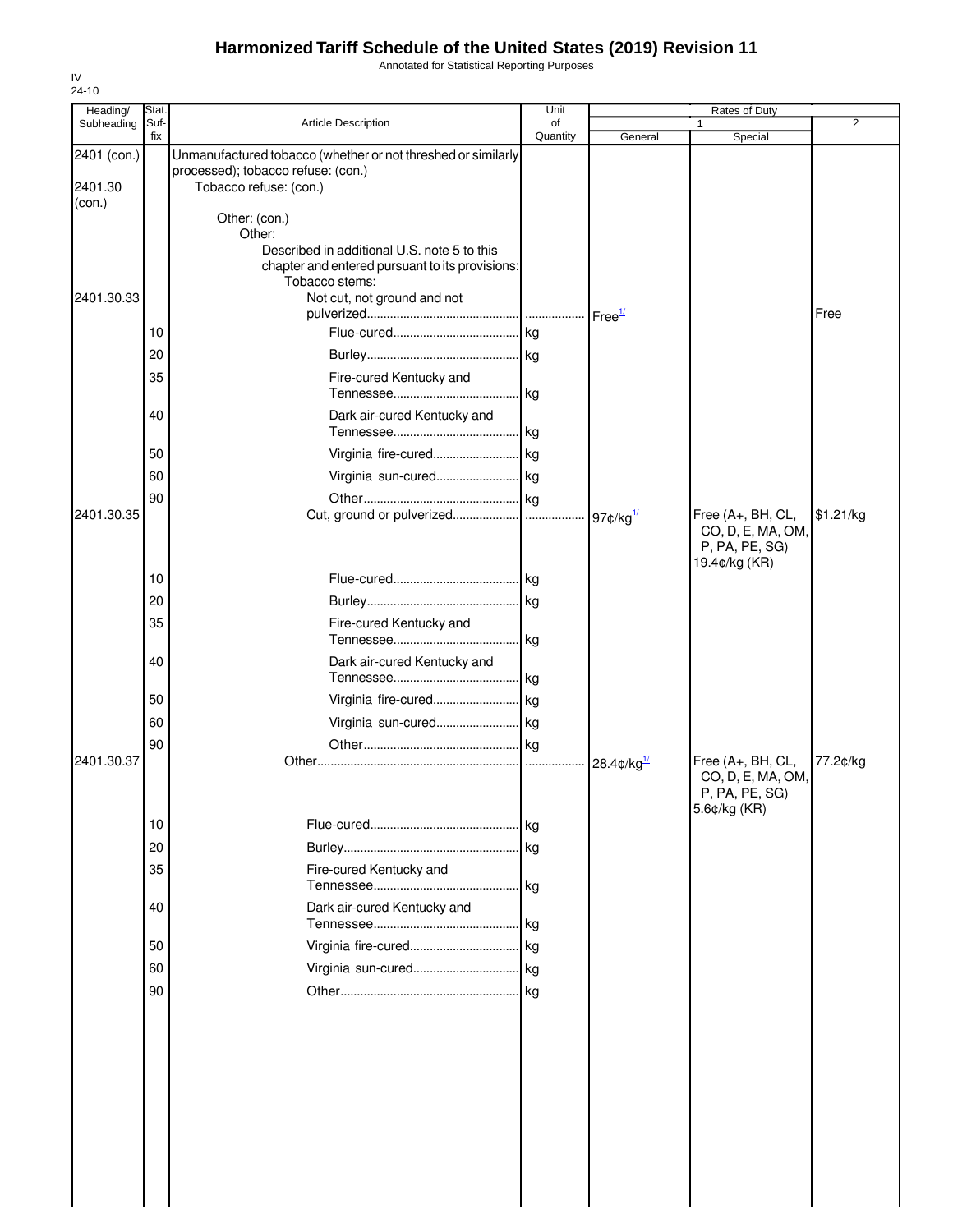Annotated for Statistical Reporting Purposes

| Heading/<br>Subheading | Stat.<br>Suf- | Article Description                                          | Unit<br>of |                                             | <b>Rates of Duty</b>                | 2         |
|------------------------|---------------|--------------------------------------------------------------|------------|---------------------------------------------|-------------------------------------|-----------|
|                        | fix           |                                                              | Quantity   | General                                     | Special                             |           |
| 2401 (con.)            |               | Unmanufactured tobacco (whether or not threshed or similarly |            |                                             |                                     |           |
| 2401.30                |               | processed); tobacco refuse: (con.)<br>Tobacco refuse: (con.) |            |                                             |                                     |           |
| (con.)                 |               |                                                              |            |                                             |                                     |           |
|                        |               | Other: (con.)                                                |            |                                             |                                     |           |
|                        |               | Other:<br>Described in additional U.S. note 5 to this        |            |                                             |                                     |           |
|                        |               | chapter and entered pursuant to its provisions:              |            |                                             |                                     |           |
|                        |               | Tobacco stems:                                               |            |                                             |                                     |           |
| 2401.30.33             |               | Not cut, not ground and not                                  |            | Free <sup>1/</sup>                          |                                     | Free      |
|                        | 10            |                                                              | kg         |                                             |                                     |           |
|                        | 20            |                                                              |            |                                             |                                     |           |
|                        | 35            | Fire-cured Kentucky and                                      |            |                                             |                                     |           |
|                        |               |                                                              | kg         |                                             |                                     |           |
|                        | 40            | Dark air-cured Kentucky and                                  |            |                                             |                                     |           |
|                        |               |                                                              |            |                                             |                                     |           |
|                        | 50            |                                                              |            |                                             |                                     |           |
|                        | 60            | Virginia sun-cured kg                                        |            |                                             |                                     |           |
|                        | 90            |                                                              |            |                                             |                                     |           |
| 2401.30.35             |               |                                                              |            | 97 $\mathfrak{c}/\mathsf{kg}$ <sup>1/</sup> | Free (A+, BH, CL,                   | \$1.21/kg |
|                        |               |                                                              |            |                                             | CO, D, E, MA, OM,<br>P, PA, PE, SG) |           |
|                        |               |                                                              |            |                                             | 19.4¢/kg (KR)                       |           |
|                        | 10            |                                                              |            |                                             |                                     |           |
|                        | 20            |                                                              |            |                                             |                                     |           |
|                        | 35            | Fire-cured Kentucky and                                      |            |                                             |                                     |           |
|                        |               |                                                              | kg         |                                             |                                     |           |
|                        | 40            | Dark air-cured Kentucky and                                  |            |                                             |                                     |           |
|                        | 50            |                                                              | kg         |                                             |                                     |           |
|                        |               | Virginia fire-cured kg                                       |            |                                             |                                     |           |
|                        | 60            | Virginia sun-cured kg                                        |            |                                             |                                     |           |
| 2401.30.37             | 90            |                                                              | . kg<br>   | 28.4 $\frac{d}{dx}$ /kg <sup>1/</sup>       | Free (A+, BH, CL,                   | 77.2¢/kg  |
|                        |               |                                                              |            |                                             | CO, D, E, MA, OM,                   |           |
|                        |               |                                                              |            |                                             | P, PA, PE, SG)                      |           |
|                        | 10            |                                                              | .lkg       |                                             | 5.6¢/kg (KR)                        |           |
|                        | 20            |                                                              |            |                                             |                                     |           |
|                        | 35            | Fire-cured Kentucky and                                      |            |                                             |                                     |           |
|                        |               |                                                              |            |                                             |                                     |           |
|                        | 40            | Dark air-cured Kentucky and                                  |            |                                             |                                     |           |
|                        |               |                                                              | . kg       |                                             |                                     |           |
|                        | 50            |                                                              |            |                                             |                                     |           |
|                        | 60            |                                                              |            |                                             |                                     |           |
|                        | 90            |                                                              | .lkg       |                                             |                                     |           |
|                        |               |                                                              |            |                                             |                                     |           |
|                        |               |                                                              |            |                                             |                                     |           |
|                        |               |                                                              |            |                                             |                                     |           |
|                        |               |                                                              |            |                                             |                                     |           |
|                        |               |                                                              |            |                                             |                                     |           |
|                        |               |                                                              |            |                                             |                                     |           |
|                        |               |                                                              |            |                                             |                                     |           |
|                        |               |                                                              |            |                                             |                                     |           |
|                        |               |                                                              |            |                                             |                                     |           |
|                        |               |                                                              |            |                                             |                                     |           |
|                        |               |                                                              |            |                                             |                                     |           |

IV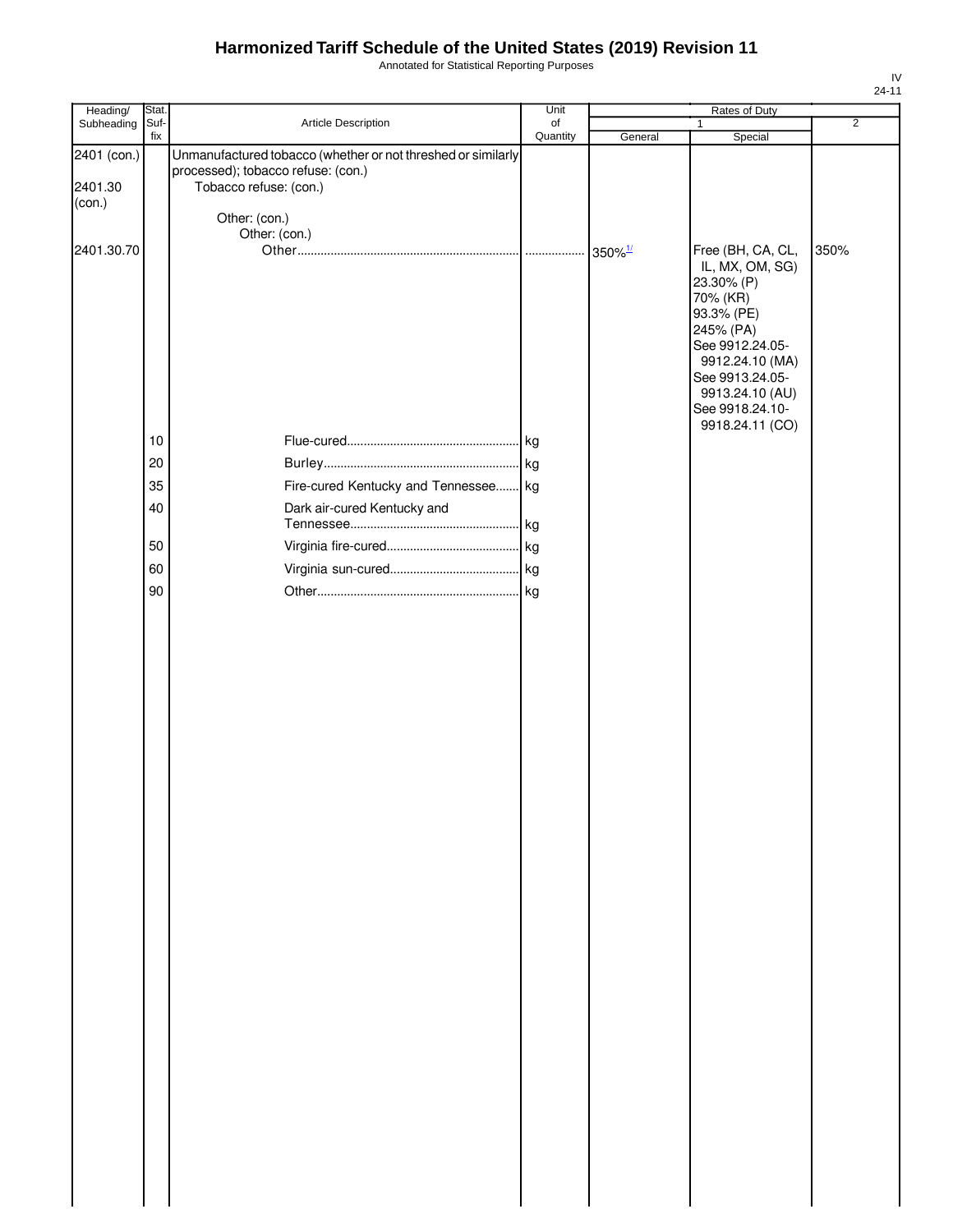Annotated for Statistical Reporting Purposes

| Heading/    | Stat.       |                                                              | Unit           |                       | Rates of Duty                        |                |
|-------------|-------------|--------------------------------------------------------------|----------------|-----------------------|--------------------------------------|----------------|
| Subheading  | Suf-<br>fix | Article Description                                          | of<br>Quantity | General               | 1<br>Special                         | $\overline{2}$ |
| 2401 (con.) |             | Unmanufactured tobacco (whether or not threshed or similarly |                |                       |                                      |                |
|             |             | processed); tobacco refuse: (con.)                           |                |                       |                                      |                |
| 2401.30     |             | Tobacco refuse: (con.)                                       |                |                       |                                      |                |
| (con.)      |             |                                                              |                |                       |                                      |                |
|             |             | Other: (con.)                                                |                |                       |                                      |                |
|             |             | Other: (con.)                                                |                |                       |                                      | 350%           |
| 2401.30.70  |             |                                                              |                | $350\%$ <sup>1/</sup> | Free (BH, CA, CL,<br>IL, MX, OM, SG) |                |
|             |             |                                                              |                |                       | 23.30% (P)                           |                |
|             |             |                                                              |                |                       | 70% (KR)                             |                |
|             |             |                                                              |                |                       | 93.3% (PE)                           |                |
|             |             |                                                              |                |                       | 245% (PA)                            |                |
|             |             |                                                              |                |                       | See 9912.24.05-<br>9912.24.10 (MA)   |                |
|             |             |                                                              |                |                       | See 9913.24.05-                      |                |
|             |             |                                                              |                |                       | 9913.24.10 (AU)                      |                |
|             |             |                                                              |                |                       | See 9918.24.10-                      |                |
|             | 10          |                                                              |                |                       | 9918.24.11 (CO)                      |                |
|             |             |                                                              |                |                       |                                      |                |
|             | 20          |                                                              |                |                       |                                      |                |
|             | 35          | Fire-cured Kentucky and Tennessee kg                         |                |                       |                                      |                |
|             | 40          | Dark air-cured Kentucky and                                  |                |                       |                                      |                |
|             |             |                                                              | kg             |                       |                                      |                |
|             | 50          |                                                              |                |                       |                                      |                |
|             | 60          |                                                              |                |                       |                                      |                |
|             | 90          |                                                              |                |                       |                                      |                |
|             |             |                                                              |                |                       |                                      |                |
|             |             |                                                              |                |                       |                                      |                |
|             |             |                                                              |                |                       |                                      |                |
|             |             |                                                              |                |                       |                                      |                |
|             |             |                                                              |                |                       |                                      |                |
|             |             |                                                              |                |                       |                                      |                |
|             |             |                                                              |                |                       |                                      |                |
|             |             |                                                              |                |                       |                                      |                |
|             |             |                                                              |                |                       |                                      |                |
|             |             |                                                              |                |                       |                                      |                |
|             |             |                                                              |                |                       |                                      |                |
|             |             |                                                              |                |                       |                                      |                |
|             |             |                                                              |                |                       |                                      |                |
|             |             |                                                              |                |                       |                                      |                |
|             |             |                                                              |                |                       |                                      |                |
|             |             |                                                              |                |                       |                                      |                |
|             |             |                                                              |                |                       |                                      |                |
|             |             |                                                              |                |                       |                                      |                |
|             |             |                                                              |                |                       |                                      |                |
|             |             |                                                              |                |                       |                                      |                |
|             |             |                                                              |                |                       |                                      |                |
|             |             |                                                              |                |                       |                                      |                |
|             |             |                                                              |                |                       |                                      |                |
|             |             |                                                              |                |                       |                                      |                |
|             |             |                                                              |                |                       |                                      |                |
|             |             |                                                              |                |                       |                                      |                |
|             |             |                                                              |                |                       |                                      |                |
|             |             |                                                              |                |                       |                                      |                |
|             |             |                                                              |                |                       |                                      |                |
|             |             |                                                              |                |                       |                                      |                |
|             |             |                                                              |                |                       |                                      |                |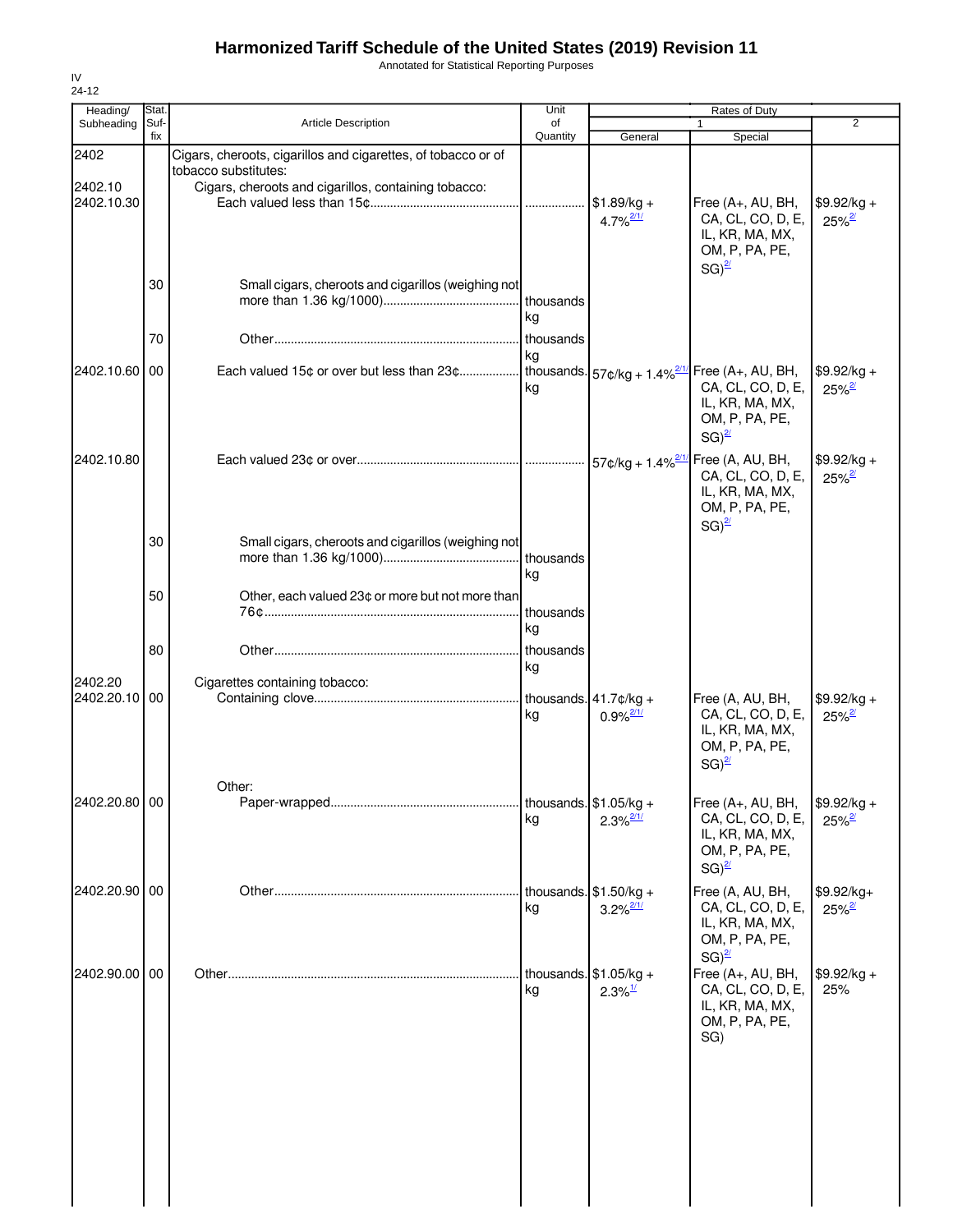Annotated for Statistical Reporting Purposes

| Heading/                 | Stat.       |                                                                                                                                               | Unit            |                                                    | Rates of Duty                                                                                    |                                      |
|--------------------------|-------------|-----------------------------------------------------------------------------------------------------------------------------------------------|-----------------|----------------------------------------------------|--------------------------------------------------------------------------------------------------|--------------------------------------|
| Subheading               | Suf-<br>fix | <b>Article Description</b>                                                                                                                    | of<br>Quantity  | General                                            | 1<br>Special                                                                                     | 2                                    |
| 2402<br>2402.10          |             | Cigars, cheroots, cigarillos and cigarettes, of tobacco or of<br>tobacco substitutes:<br>Cigars, cheroots and cigarillos, containing tobacco: |                 |                                                    |                                                                                                  |                                      |
| 2402.10.30               |             |                                                                                                                                               | .               | $$1.89/kg +$<br>$4.7\%$ <sup>2/1/</sup>            | Free (A+, AU, BH,<br>CA, CL, CO, D, E,<br>IL, KR, MA, MX,<br>OM, P, PA, PE,<br>$SG)^{2/2}$       | $$9.92/kg +$<br>$25\%$ <sup>2/</sup> |
|                          | 30          | Small cigars, cheroots and cigarillos (weighing not                                                                                           | thousands<br>ka |                                                    |                                                                                                  |                                      |
|                          | 70          |                                                                                                                                               | thousands<br>kg |                                                    |                                                                                                  |                                      |
| 2402.10.60 00            |             | Each valued 15¢ or over but less than 23¢ thousands. $57¢/kg + 1.4\%^{211}$ Free (A+, AU, BH,                                                 | kg              |                                                    | CA, CL, CO, D, E,<br>IL, KR, MA, MX,<br>OM, P, PA, PE,<br>$SG)^{2/2}$                            | $$9.92/kg +$<br>$25%^2$              |
| 2402.10.80               |             |                                                                                                                                               |                 |                                                    | CA, CL, CO, D, E,<br>IL, KR, MA, MX,<br>OM, P, PA, PE,<br>$SG)^{2/2}$                            | $$9.92/kg +$<br>$25\%$ <sup>2/</sup> |
|                          | 30          | Small cigars, cheroots and cigarillos (weighing not                                                                                           | thousands<br>kg |                                                    |                                                                                                  |                                      |
|                          | 50          | Other, each valued 23¢ or more but not more than                                                                                              | thousands<br>kg |                                                    |                                                                                                  |                                      |
|                          | 80          |                                                                                                                                               | thousands       |                                                    |                                                                                                  |                                      |
| 2402.20<br>2402.20.10 00 |             | Cigarettes containing tobacco:                                                                                                                | kg<br>kg        | $0.9\%$ <sup>2/1/</sup>                            | Free (A, AU, BH,<br>CA, CL, CO, D, E,<br>IL, KR, MA, MX,<br>OM, P, PA, PE,<br>$SG)^{2/2}$        | $$9.92/kg +$<br>$25\%$ <sup>2/</sup> |
| 2402.20.80 00            |             | Other:                                                                                                                                        | kg              | $2.3\%$ <sup>2/1/</sup>                            | Free (A+, AU, BH,<br>CA, CL, CO, D, E,<br>IL, KR, MA, MX,<br>OM, P, PA, PE,<br>$SG)^{2/2}$       | $$9.92/kg +$<br>$25\%$ <sup>2/</sup> |
| 2402.20.90 00            |             |                                                                                                                                               | kg              | thousands. $$1.50/kg +$<br>$3.2\%$ <sup>2/1/</sup> | Free (A, AU, BH,<br>CA, CL, CO, D, E,<br>IL, KR, MA, MX,<br>OM, P, PA, PE,                       | \$9.92/kg+<br>$25\%$ <sup>2/</sup>   |
| 2402.90.00 00            |             |                                                                                                                                               | kg              | thousands. $$1.05/kg +$<br>$2.3\%$ <sup>1/</sup>   | $SG)^{2l}$<br>Free (A+, AU, BH,<br>CA, CL, CO, D, E,<br>IL, KR, MA, MX,<br>OM, P, PA, PE,<br>SG) | $$9.92/kg +$<br>25%                  |
|                          |             |                                                                                                                                               |                 |                                                    |                                                                                                  |                                      |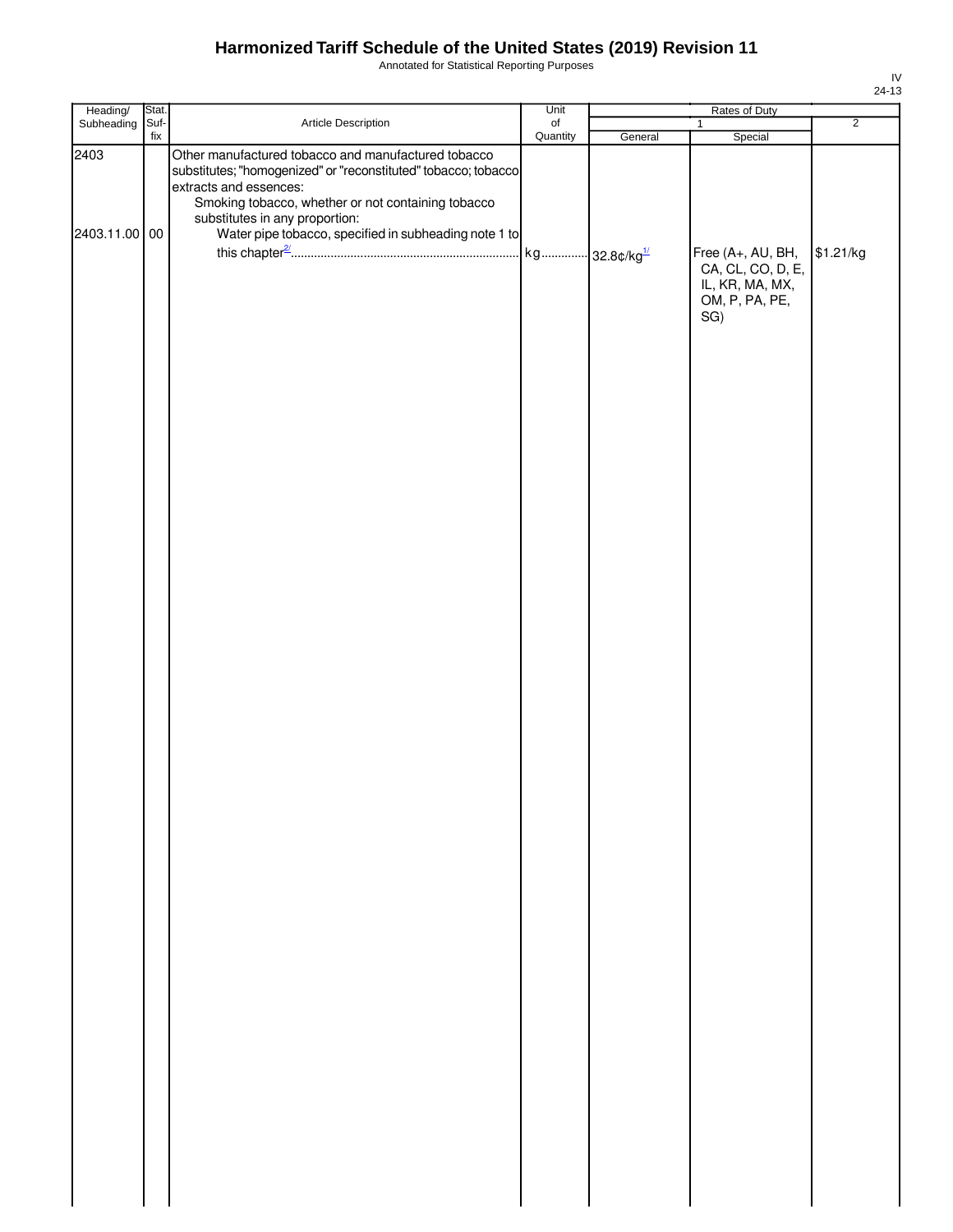Annotated for Statistical Reporting Purposes

| Heading/                            | Stat.       |                                                                                                                                                                                                                                                                                                                         | Unit                  |         | Rates of Duty                                                                                 |                             |
|-------------------------------------|-------------|-------------------------------------------------------------------------------------------------------------------------------------------------------------------------------------------------------------------------------------------------------------------------------------------------------------------------|-----------------------|---------|-----------------------------------------------------------------------------------------------|-----------------------------|
|                                     |             |                                                                                                                                                                                                                                                                                                                         |                       |         | 1                                                                                             |                             |
| Subheading<br>2403<br>2403.11.00 00 | Suf-<br>fix | Article Description<br>Other manufactured tobacco and manufactured tobacco<br>substitutes; "homogenized" or "reconstituted" tobacco; tobacco<br>extracts and essences:<br>Smoking tobacco, whether or not containing tobacco<br>substitutes in any proportion:<br>Water pipe tobacco, specified in subheading note 1 to | $\circ$ f<br>Quantity | General | Special<br>Free (A+, AU, BH,<br>CA, CL, CO, D, E,<br>IL, KR, MA, MX,<br>OM, P, PA, PE,<br>SG) | $\overline{2}$<br>\$1.21/kg |
|                                     |             |                                                                                                                                                                                                                                                                                                                         |                       |         |                                                                                               |                             |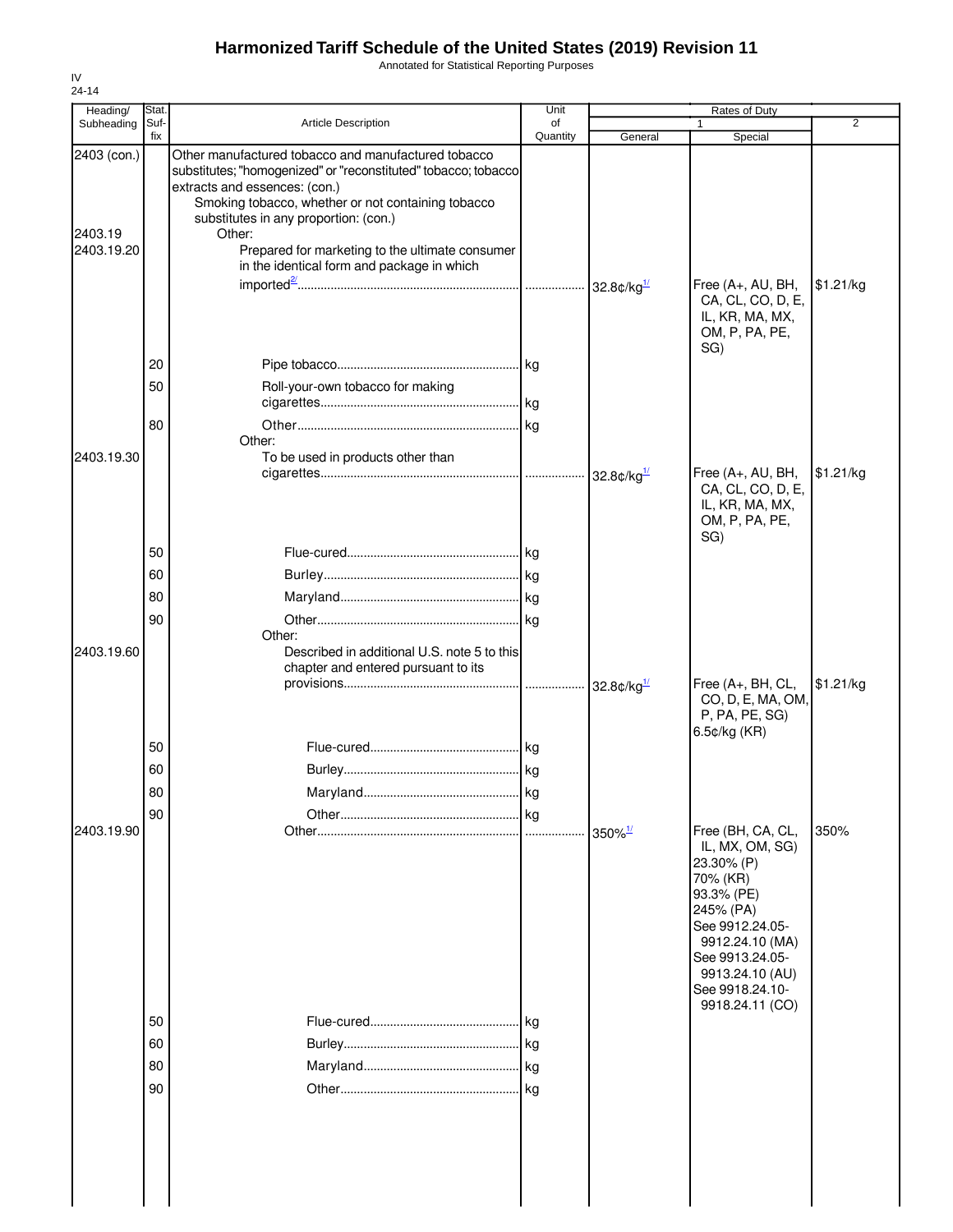Annotated for Statistical Reporting Purposes

| Stat.                |                                                                                                                                                                                                                                                                                                | Unit                                                            |                                                                                                                                 |                                                                                                                                                                                                             |                                               |
|----------------------|------------------------------------------------------------------------------------------------------------------------------------------------------------------------------------------------------------------------------------------------------------------------------------------------|-----------------------------------------------------------------|---------------------------------------------------------------------------------------------------------------------------------|-------------------------------------------------------------------------------------------------------------------------------------------------------------------------------------------------------------|-----------------------------------------------|
|                      |                                                                                                                                                                                                                                                                                                |                                                                 |                                                                                                                                 |                                                                                                                                                                                                             | $\overline{2}$                                |
|                      | Other manufactured tobacco and manufactured tobacco<br>extracts and essences: (con.)<br>Smoking tobacco, whether or not containing tobacco<br>substitutes in any proportion: (con.)<br>Other:<br>Prepared for marketing to the ultimate consumer<br>in the identical form and package in which |                                                                 |                                                                                                                                 | Free (A+, AU, BH,                                                                                                                                                                                           | \$1.21/kg                                     |
| 20<br>50<br>80       | Roll-your-own tobacco for making<br>Other:                                                                                                                                                                                                                                                     |                                                                 |                                                                                                                                 | IL, KR, MA, MX,<br>OM, P, PA, PE,<br>SG)                                                                                                                                                                    |                                               |
|                      |                                                                                                                                                                                                                                                                                                |                                                                 |                                                                                                                                 | Free (A+, AU, BH,<br>CA, CL, CO, D, E,<br>IL, KR, MA, MX,<br>OM, P, PA, PE,<br>SG)                                                                                                                          | \$1.21/kg                                     |
| 60<br>80<br>90       | Other:                                                                                                                                                                                                                                                                                         |                                                                 |                                                                                                                                 |                                                                                                                                                                                                             |                                               |
|                      | chapter and entered pursuant to its                                                                                                                                                                                                                                                            |                                                                 |                                                                                                                                 | Free (A+, BH, CL,<br>CO, D, E, MA, OM,<br>P, PA, PE, SG)<br>6.5¢/kg (KR)                                                                                                                                    | \$1.21/kg                                     |
| 60<br>80             |                                                                                                                                                                                                                                                                                                |                                                                 |                                                                                                                                 |                                                                                                                                                                                                             |                                               |
|                      |                                                                                                                                                                                                                                                                                                |                                                                 | $350\%$ <sup>1/</sup>                                                                                                           | Free (BH, CA, CL,<br>IL, MX, OM, SG)<br>23.30% (P)<br>70% (KR)<br>93.3% (PE)<br>245% (PA)<br>See 9912.24.05-<br>9912.24.10 (MA)<br>See 9913.24.05-<br>9913.24.10 (AU)<br>See 9918.24.10-<br>9918.24.11 (CO) | 350%                                          |
| 50<br>60<br>80<br>90 |                                                                                                                                                                                                                                                                                                |                                                                 |                                                                                                                                 |                                                                                                                                                                                                             |                                               |
|                      | Suf-<br>fix<br>50<br>50<br>90                                                                                                                                                                                                                                                                  | <b>Article Description</b><br>To be used in products other than | of<br>Quantity<br>substitutes; "homogenized" or "reconstituted" tobacco; tobacco<br>Described in additional U.S. note 5 to this | General                                                                                                                                                                                                     | Rates of Duty<br>Special<br>CA, CL, CO, D, E, |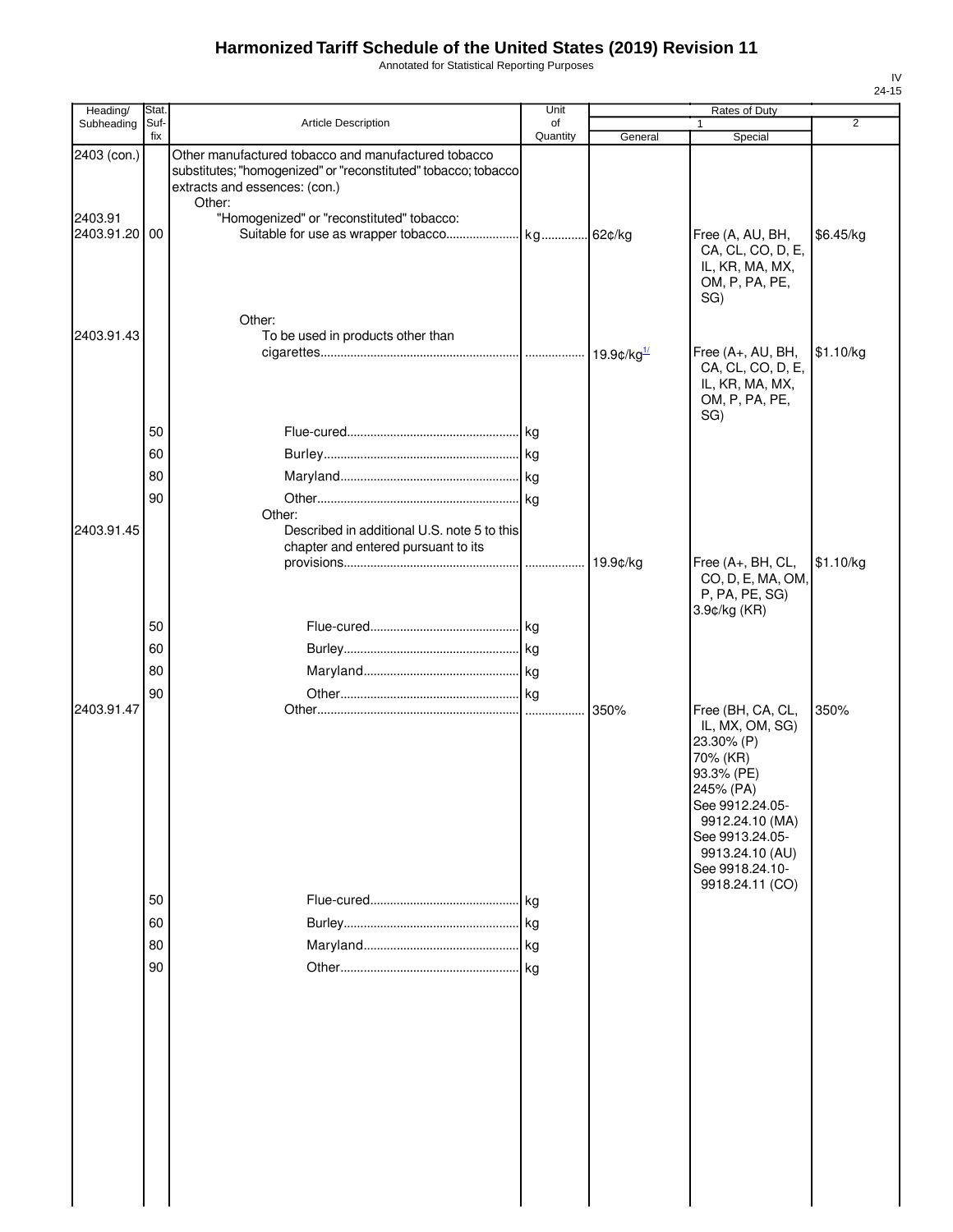Annotated for Statistical Reporting Purposes

| Heading/                                | <b>Stat</b>          |                                                                                                                                                                                                               | Unit           |                     |                                                                                                                                           |                |
|-----------------------------------------|----------------------|---------------------------------------------------------------------------------------------------------------------------------------------------------------------------------------------------------------|----------------|---------------------|-------------------------------------------------------------------------------------------------------------------------------------------|----------------|
| Subheading                              | Suf-<br>fix          | Article Description                                                                                                                                                                                           | of<br>Quantity | General             | Special                                                                                                                                   | $\overline{2}$ |
| 2403 (con.)<br>2403.91<br>2403.91.20 00 |                      | Other manufactured tobacco and manufactured tobacco<br>substitutes; "homogenized" or "reconstituted" tobacco; tobacco<br>extracts and essences: (con.)<br>Other:<br>"Homogenized" or "reconstituted" tobacco: |                |                     | Free (A, AU, BH,<br>CA, CL, CO, D, E,<br>IL, KR, MA, MX,<br>OM, P, PA, PE,<br>SG)                                                         | \$6.45/kg      |
| 2403.91.43                              |                      | Other:<br>To be used in products other than                                                                                                                                                                   |                | 19.9 $\frac{d}{dx}$ | Free (A+, AU, BH,<br>CA, CL, CO, D, E,<br>IL, KR, MA, MX,<br>OM, P, PA, PE,                                                               | \$1.10/kg      |
| 2403.91.45                              | 50<br>60<br>80<br>90 | Other:<br>Described in additional U.S. note 5 to this<br>chapter and entered pursuant to its                                                                                                                  |                | 19.9¢/kg            | SG)<br>Free (A+, BH, CL,<br>CO, D, E, MA, OM,<br>P, PA, PE, SG)                                                                           | \$1.10/kg      |
| 2403.91.47                              | 50<br>60<br>80<br>90 |                                                                                                                                                                                                               |                | 350%                | 3.9¢/kg (KR)<br>Free (BH, CA, CL,<br>IL, MX, OM, SG)<br>23.30% (P)<br>70% (KR)                                                            | 350%           |
|                                         | 50<br>60<br>80<br>90 |                                                                                                                                                                                                               |                |                     | 93.3% (PE)<br>245% (PA)<br>See 9912.24.05-<br>9912.24.10 (MA)<br>See 9913.24.05-<br>9913.24.10 (AU)<br>See 9918.24.10-<br>9918.24.11 (CO) |                |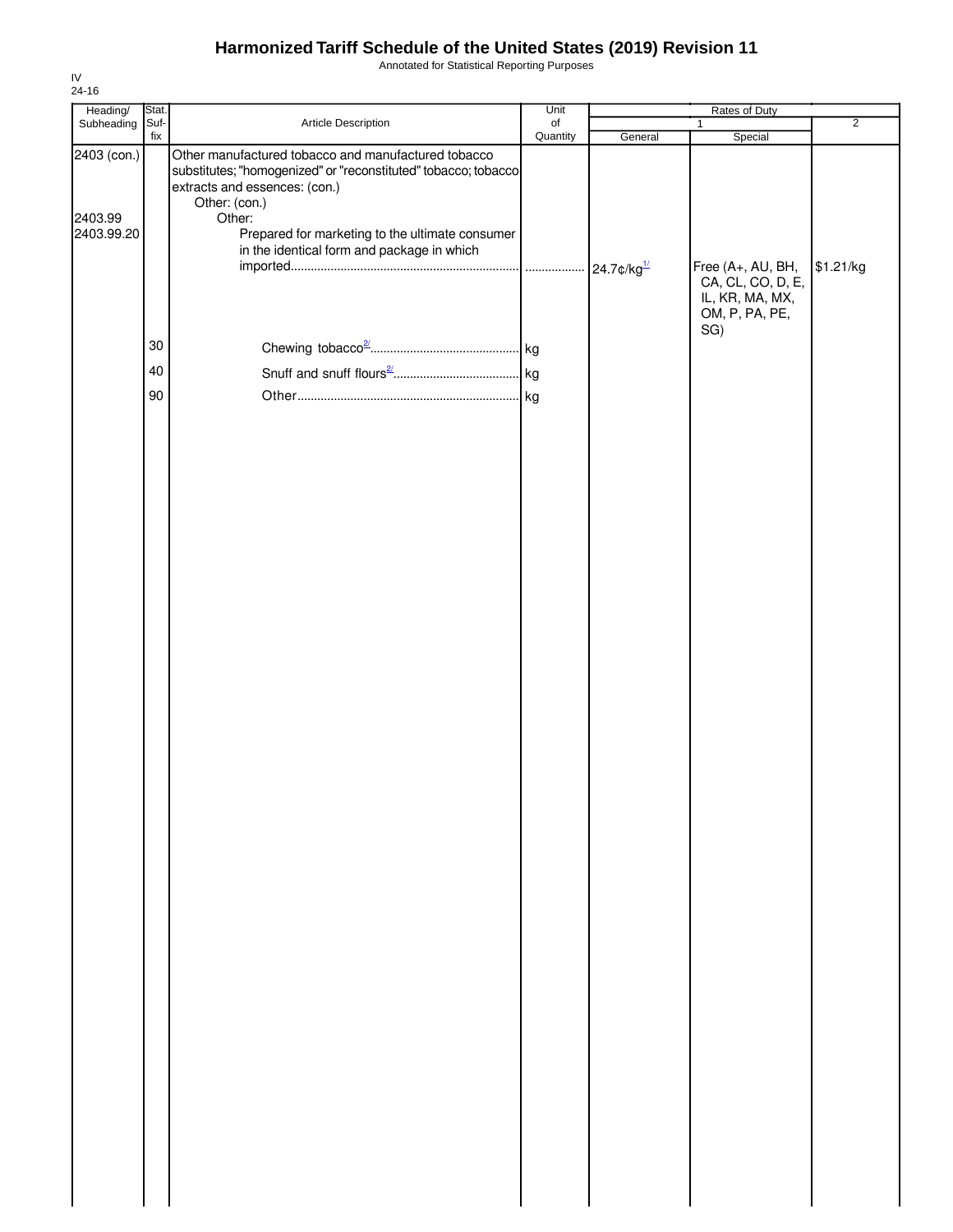Annotated for Statistical Reporting Purposes

| Heading/                             | Stat. |                                                                                                                                                                                                                                                                                    | Unit           | Rates of Duty |                                                                                    |                |  |
|--------------------------------------|-------|------------------------------------------------------------------------------------------------------------------------------------------------------------------------------------------------------------------------------------------------------------------------------------|----------------|---------------|------------------------------------------------------------------------------------|----------------|--|
| Subheading Suf-                      | fix   | Article Description                                                                                                                                                                                                                                                                | of<br>Quantity | General       | $\mathbf{1}$<br>Special                                                            | $\overline{2}$ |  |
| 2403 (con.)<br>2403.99<br>2403.99.20 |       | Other manufactured tobacco and manufactured tobacco<br>substitutes; "homogenized" or "reconstituted" tobacco; tobacco<br>extracts and essences: (con.)<br>Other: (con.)<br>Other:<br>Prepared for marketing to the ultimate consumer<br>in the identical form and package in which |                |               | Free (A+, AU, BH,<br>CA, CL, CO, D, E,<br>IL, KR, MA, MX,<br>OM, P, PA, PE,<br>SG) | \$1.21/kg      |  |
|                                      | 30    |                                                                                                                                                                                                                                                                                    |                |               |                                                                                    |                |  |
|                                      | 40    |                                                                                                                                                                                                                                                                                    |                |               |                                                                                    |                |  |
|                                      | 90    |                                                                                                                                                                                                                                                                                    |                |               |                                                                                    |                |  |
|                                      |       |                                                                                                                                                                                                                                                                                    |                |               |                                                                                    |                |  |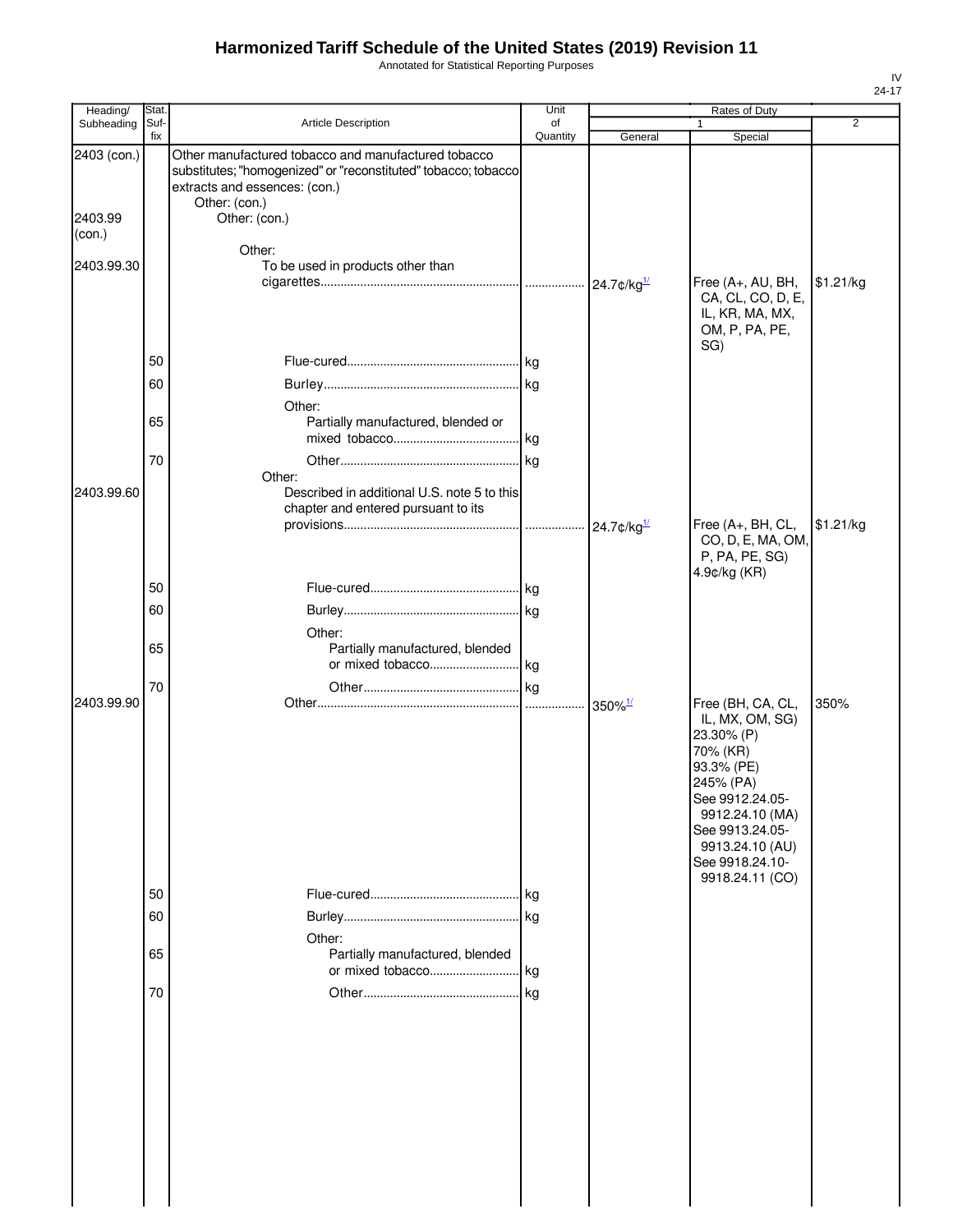Annotated for Statistical Reporting Purposes

| Heading/    | Stat.       |                                                                                                                                                                         | Unit           |                                      |                                                                                                                                                                                                             |           |
|-------------|-------------|-------------------------------------------------------------------------------------------------------------------------------------------------------------------------|----------------|--------------------------------------|-------------------------------------------------------------------------------------------------------------------------------------------------------------------------------------------------------------|-----------|
| Subheading  | Suf-<br>fix | Article Description                                                                                                                                                     | of<br>Quantity | General                              | 1<br>Special                                                                                                                                                                                                | 2         |
| 2403 (con.) |             | Other manufactured tobacco and manufactured tobacco<br>substitutes; "homogenized" or "reconstituted" tobacco; tobacco<br>extracts and essences: (con.)<br>Other: (con.) |                |                                      |                                                                                                                                                                                                             |           |
| 2403.99     |             | Other: (con.)                                                                                                                                                           |                |                                      |                                                                                                                                                                                                             |           |
| (con.)      |             | Other:                                                                                                                                                                  |                |                                      |                                                                                                                                                                                                             |           |
| 2403.99.30  |             | To be used in products other than                                                                                                                                       |                |                                      | Free (A+, AU, BH,                                                                                                                                                                                           | \$1.21/kg |
|             |             |                                                                                                                                                                         |                |                                      | CA, CL, CO, D, E,<br>IL, KR, MA, MX,<br>OM, P, PA, PE,<br>SG)                                                                                                                                               |           |
|             | 50          |                                                                                                                                                                         |                |                                      |                                                                                                                                                                                                             |           |
|             | 60          |                                                                                                                                                                         |                |                                      |                                                                                                                                                                                                             |           |
|             | 65          | Other:<br>Partially manufactured, blended or                                                                                                                            |                |                                      |                                                                                                                                                                                                             |           |
|             |             |                                                                                                                                                                         |                |                                      |                                                                                                                                                                                                             |           |
|             | 70          |                                                                                                                                                                         |                |                                      |                                                                                                                                                                                                             |           |
| 2403.99.60  |             | Other:<br>Described in additional U.S. note 5 to this<br>chapter and entered pursuant to its                                                                            |                |                                      |                                                                                                                                                                                                             |           |
|             |             |                                                                                                                                                                         |                | $\cdot \cdot$ 24.7¢/kg $\frac{1}{2}$ | Free (A+, BH, CL,<br>CO, D, E, MA, OM,<br>P, PA, PE, SG)                                                                                                                                                    | \$1.21/kg |
|             | 50          |                                                                                                                                                                         |                |                                      | 4.9¢/kg (KR)                                                                                                                                                                                                |           |
|             | 60          |                                                                                                                                                                         |                |                                      |                                                                                                                                                                                                             |           |
|             |             | Other:                                                                                                                                                                  |                |                                      |                                                                                                                                                                                                             |           |
|             | 65          | Partially manufactured, blended                                                                                                                                         |                |                                      |                                                                                                                                                                                                             |           |
|             | 70          |                                                                                                                                                                         |                |                                      |                                                                                                                                                                                                             |           |
| 2403.99.90  |             |                                                                                                                                                                         |                | $350\%$ <sup>1/</sup>                | Free (BH, CA, CL,<br>IL, MX, OM, SG)<br>23.30% (P)<br>70% (KR)<br>93.3% (PE)<br>245% (PA)<br>See 9912.24.05-<br>9912.24.10 (MA)<br>See 9913.24.05-<br>9913.24.10 (AU)<br>See 9918.24.10-<br>9918.24.11 (CO) | 350%      |
|             | 50          |                                                                                                                                                                         |                |                                      |                                                                                                                                                                                                             |           |
|             | 60          | Other:                                                                                                                                                                  |                |                                      |                                                                                                                                                                                                             |           |
|             | 65          | Partially manufactured, blended                                                                                                                                         |                |                                      |                                                                                                                                                                                                             |           |
|             | 70          |                                                                                                                                                                         |                |                                      |                                                                                                                                                                                                             |           |
|             |             |                                                                                                                                                                         |                |                                      |                                                                                                                                                                                                             |           |
|             |             |                                                                                                                                                                         |                |                                      |                                                                                                                                                                                                             |           |